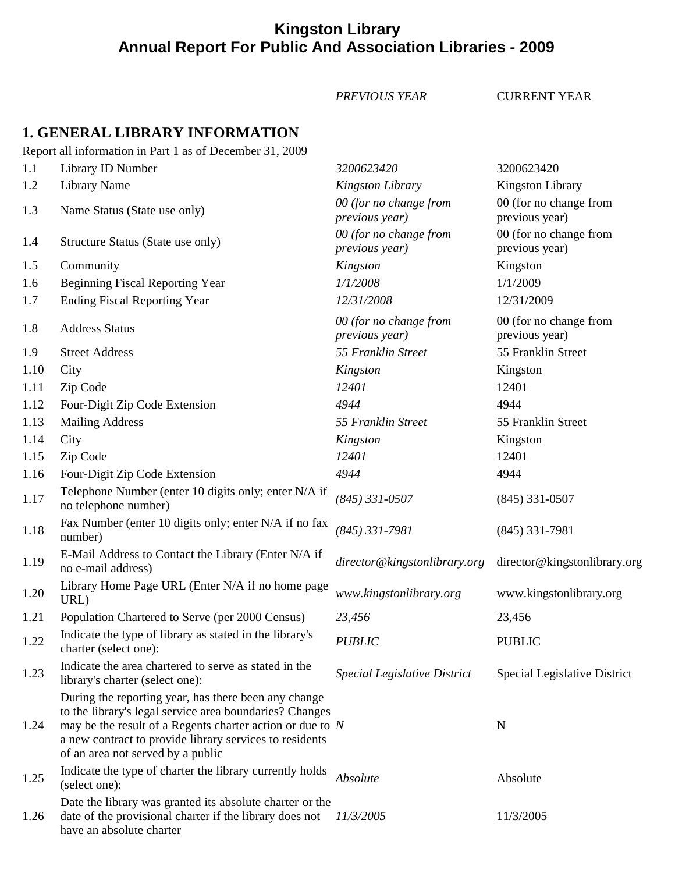## **Kingston Library Annual Report For Public And Association Libraries - 2009**

*PREVIOUS YEAR* CURRENT YEAR

## **1. GENERAL LIBRARY INFORMATION**

Report all information in Part 1 as of December 31, 2009

| 1.1  | Library ID Number                                                                                                                                                                                                                                                              | 3200623420                               | 3200623420                               |
|------|--------------------------------------------------------------------------------------------------------------------------------------------------------------------------------------------------------------------------------------------------------------------------------|------------------------------------------|------------------------------------------|
| 1.2  | <b>Library Name</b>                                                                                                                                                                                                                                                            | <b>Kingston Library</b>                  | <b>Kingston Library</b>                  |
| 1.3  | Name Status (State use only)                                                                                                                                                                                                                                                   | 00 (for no change from<br>previous year) | 00 (for no change from<br>previous year) |
| 1.4  | Structure Status (State use only)                                                                                                                                                                                                                                              | 00 (for no change from<br>previous year) | 00 (for no change from<br>previous year) |
| 1.5  | Community                                                                                                                                                                                                                                                                      | Kingston                                 | Kingston                                 |
| 1.6  | <b>Beginning Fiscal Reporting Year</b>                                                                                                                                                                                                                                         | 1/1/2008                                 | 1/1/2009                                 |
| 1.7  | <b>Ending Fiscal Reporting Year</b>                                                                                                                                                                                                                                            | 12/31/2008                               | 12/31/2009                               |
| 1.8  | <b>Address Status</b>                                                                                                                                                                                                                                                          | 00 (for no change from<br>previous year) | 00 (for no change from<br>previous year) |
| 1.9  | <b>Street Address</b>                                                                                                                                                                                                                                                          | 55 Franklin Street                       | 55 Franklin Street                       |
| 1.10 | City                                                                                                                                                                                                                                                                           | Kingston                                 | Kingston                                 |
| 1.11 | Zip Code                                                                                                                                                                                                                                                                       | 12401                                    | 12401                                    |
| 1.12 | Four-Digit Zip Code Extension                                                                                                                                                                                                                                                  | 4944                                     | 4944                                     |
| 1.13 | <b>Mailing Address</b>                                                                                                                                                                                                                                                         | 55 Franklin Street                       | 55 Franklin Street                       |
| 1.14 | City                                                                                                                                                                                                                                                                           | Kingston                                 | Kingston                                 |
| 1.15 | Zip Code                                                                                                                                                                                                                                                                       | 12401                                    | 12401                                    |
| 1.16 | Four-Digit Zip Code Extension                                                                                                                                                                                                                                                  | 4944                                     | 4944                                     |
| 1.17 | Telephone Number (enter 10 digits only; enter N/A if<br>no telephone number)                                                                                                                                                                                                   | $(845)$ 331-0507                         | $(845)$ 331-0507                         |
| 1.18 | Fax Number (enter 10 digits only; enter N/A if no fax<br>number)                                                                                                                                                                                                               | $(845)$ 331-7981                         | $(845)$ 331-7981                         |
| 1.19 | E-Mail Address to Contact the Library (Enter N/A if<br>no e-mail address)                                                                                                                                                                                                      | director@kingstonlibrary.org             | director@kingstonlibrary.org             |
| 1.20 | Library Home Page URL (Enter N/A if no home page<br>URL)                                                                                                                                                                                                                       | www.kingstonlibrary.org                  | www.kingstonlibrary.org                  |
| 1.21 | Population Chartered to Serve (per 2000 Census)                                                                                                                                                                                                                                | 23,456                                   | 23,456                                   |
| 1.22 | Indicate the type of library as stated in the library's<br>charter (select one):                                                                                                                                                                                               | <b>PUBLIC</b>                            | <b>PUBLIC</b>                            |
| 1.23 | Indicate the area chartered to serve as stated in the<br>library's charter (select one):                                                                                                                                                                                       | <b>Special Legislative District</b>      | Special Legislative District             |
| 1.24 | During the reporting year, has there been any change<br>to the library's legal service area boundaries? Changes<br>may be the result of a Regents charter action or due to $N$<br>a new contract to provide library services to residents<br>of an area not served by a public |                                          | N                                        |
| 1.25 | Indicate the type of charter the library currently holds<br>(select one):                                                                                                                                                                                                      | Absolute                                 | Absolute                                 |
| 1.26 | Date the library was granted its absolute charter or the<br>date of the provisional charter if the library does not<br>have an absolute charter                                                                                                                                | 11/3/2005                                | 11/3/2005                                |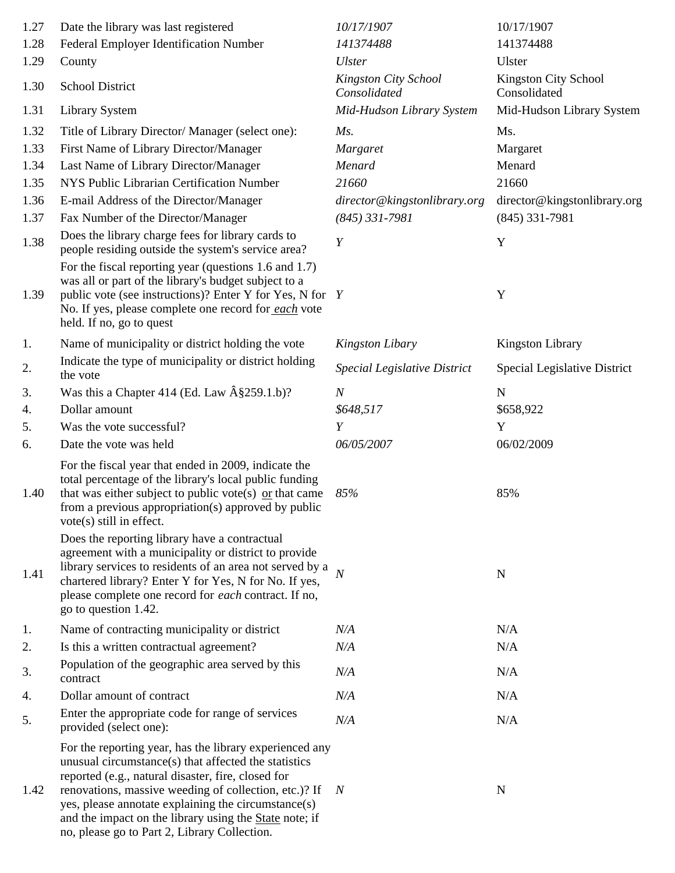| 1.27 | Date the library was last registered                                                                                                                                                                                                                                                                                                                                                            | 10/17/1907                           | 10/17/1907                                  |
|------|-------------------------------------------------------------------------------------------------------------------------------------------------------------------------------------------------------------------------------------------------------------------------------------------------------------------------------------------------------------------------------------------------|--------------------------------------|---------------------------------------------|
| 1.28 | Federal Employer Identification Number                                                                                                                                                                                                                                                                                                                                                          | 141374488                            | 141374488                                   |
| 1.29 | County                                                                                                                                                                                                                                                                                                                                                                                          | <b>Ulster</b>                        | Ulster                                      |
| 1.30 | <b>School District</b>                                                                                                                                                                                                                                                                                                                                                                          | Kingston City School<br>Consolidated | <b>Kingston City School</b><br>Consolidated |
| 1.31 | <b>Library System</b>                                                                                                                                                                                                                                                                                                                                                                           | Mid-Hudson Library System            | Mid-Hudson Library System                   |
| 1.32 | Title of Library Director/ Manager (select one):                                                                                                                                                                                                                                                                                                                                                | Ms.                                  | Ms.                                         |
| 1.33 | First Name of Library Director/Manager                                                                                                                                                                                                                                                                                                                                                          | Margaret                             | Margaret                                    |
| 1.34 | Last Name of Library Director/Manager                                                                                                                                                                                                                                                                                                                                                           | Menard                               | Menard                                      |
| 1.35 | NYS Public Librarian Certification Number                                                                                                                                                                                                                                                                                                                                                       | 21660                                | 21660                                       |
| 1.36 | E-mail Address of the Director/Manager                                                                                                                                                                                                                                                                                                                                                          | director@kingstonlibrary.org         | director@kingstonlibrary.org                |
| 1.37 | Fax Number of the Director/Manager                                                                                                                                                                                                                                                                                                                                                              | $(845)$ 331-7981                     | $(845)$ 331-7981                            |
| 1.38 | Does the library charge fees for library cards to<br>people residing outside the system's service area?                                                                                                                                                                                                                                                                                         | $\boldsymbol{Y}$                     | Y                                           |
| 1.39 | For the fiscal reporting year (questions 1.6 and 1.7)<br>was all or part of the library's budget subject to a<br>public vote (see instructions)? Enter Y for Yes, N for Y<br>No. If yes, please complete one record for each vote<br>held. If no, go to quest                                                                                                                                   |                                      | Y                                           |
| 1.   | Name of municipality or district holding the vote                                                                                                                                                                                                                                                                                                                                               | <b>Kingston Libary</b>               | Kingston Library                            |
| 2.   | Indicate the type of municipality or district holding<br>the vote                                                                                                                                                                                                                                                                                                                               | <b>Special Legislative District</b>  | Special Legislative District                |
| 3.   | Was this a Chapter 414 (Ed. Law $\hat{A}\$ \$259.1.b)?                                                                                                                                                                                                                                                                                                                                          | $\boldsymbol{N}$                     | ${\bf N}$                                   |
| 4.   | Dollar amount                                                                                                                                                                                                                                                                                                                                                                                   | \$648,517                            | \$658,922                                   |
| 5.   | Was the vote successful?                                                                                                                                                                                                                                                                                                                                                                        | Y                                    | Y                                           |
| 6.   | Date the vote was held                                                                                                                                                                                                                                                                                                                                                                          | 06/05/2007                           | 06/02/2009                                  |
| 1.40 | For the fiscal year that ended in 2009, indicate the<br>total percentage of the library's local public funding<br>that was either subject to public vote(s) $\alpha$ that came<br>from a previous appropriation(s) approved by public<br>vote(s) still in effect.                                                                                                                               | 85%                                  | 85%                                         |
| 1.41 | Does the reporting library have a contractual<br>agreement with a municipality or district to provide<br>library services to residents of an area not served by a<br>chartered library? Enter Y for Yes, N for No. If yes,<br>please complete one record for <i>each</i> contract. If no,<br>go to question 1.42.                                                                               | $\overline{N}$                       | $\mathbf N$                                 |
| 1.   | Name of contracting municipality or district                                                                                                                                                                                                                                                                                                                                                    | N/A                                  | N/A                                         |
| 2.   | Is this a written contractual agreement?                                                                                                                                                                                                                                                                                                                                                        | N/A                                  | N/A                                         |
| 3.   | Population of the geographic area served by this<br>contract                                                                                                                                                                                                                                                                                                                                    | N/A                                  | N/A                                         |
| 4.   | Dollar amount of contract                                                                                                                                                                                                                                                                                                                                                                       | N/A                                  | N/A                                         |
| 5.   | Enter the appropriate code for range of services<br>provided (select one):                                                                                                                                                                                                                                                                                                                      | N/A                                  | N/A                                         |
| 1.42 | For the reporting year, has the library experienced any<br>unusual circumstance(s) that affected the statistics<br>reported (e.g., natural disaster, fire, closed for<br>renovations, massive weeding of collection, etc.)? If<br>yes, please annotate explaining the circumstance(s)<br>and the impact on the library using the State note; if<br>no, please go to Part 2, Library Collection. | $\boldsymbol{N}$                     | $\mathbf N$                                 |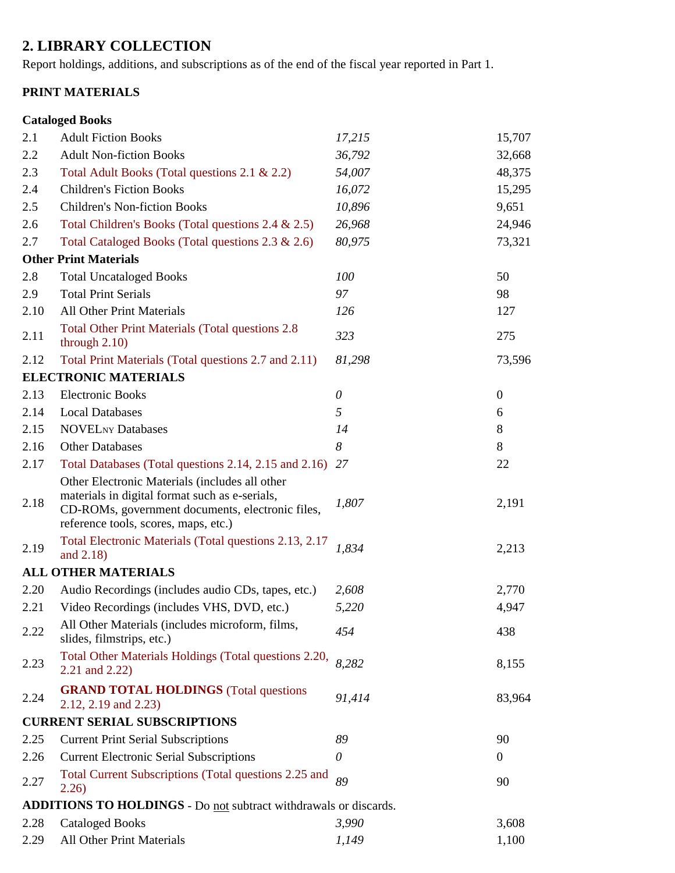# **2. LIBRARY COLLECTION**

Report holdings, additions, and subscriptions as of the end of the fiscal year reported in Part 1.

### **PRINT MATERIALS**

|      | <b>Cataloged Books</b>                                                                                                                                                                       |          |                  |
|------|----------------------------------------------------------------------------------------------------------------------------------------------------------------------------------------------|----------|------------------|
| 2.1  | <b>Adult Fiction Books</b>                                                                                                                                                                   | 17,215   | 15,707           |
| 2.2  | <b>Adult Non-fiction Books</b>                                                                                                                                                               | 36,792   | 32,668           |
| 2.3  | Total Adult Books (Total questions 2.1 & 2.2)                                                                                                                                                | 54,007   | 48,375           |
| 2.4  | <b>Children's Fiction Books</b>                                                                                                                                                              | 16,072   | 15,295           |
| 2.5  | <b>Children's Non-fiction Books</b>                                                                                                                                                          | 10,896   | 9,651            |
| 2.6  | Total Children's Books (Total questions 2.4 & 2.5)                                                                                                                                           | 26,968   | 24,946           |
| 2.7  | Total Cataloged Books (Total questions 2.3 & 2.6)                                                                                                                                            | 80,975   | 73,321           |
|      | <b>Other Print Materials</b>                                                                                                                                                                 |          |                  |
| 2.8  | <b>Total Uncataloged Books</b>                                                                                                                                                               | 100      | 50               |
| 2.9  | <b>Total Print Serials</b>                                                                                                                                                                   | 97       | 98               |
| 2.10 | <b>All Other Print Materials</b>                                                                                                                                                             | 126      | 127              |
| 2.11 | <b>Total Other Print Materials (Total questions 2.8)</b><br>through $2.10$ )                                                                                                                 | 323      | 275              |
| 2.12 | Total Print Materials (Total questions 2.7 and 2.11)                                                                                                                                         | 81,298   | 73,596           |
|      | <b>ELECTRONIC MATERIALS</b>                                                                                                                                                                  |          |                  |
| 2.13 | <b>Electronic Books</b>                                                                                                                                                                      | $\theta$ | $\boldsymbol{0}$ |
| 2.14 | <b>Local Databases</b>                                                                                                                                                                       | 5        | 6                |
| 2.15 | <b>NOVELNY Databases</b>                                                                                                                                                                     | 14       | 8                |
| 2.16 | <b>Other Databases</b>                                                                                                                                                                       | 8        | 8                |
| 2.17 | Total Databases (Total questions 2.14, 2.15 and 2.16) 27                                                                                                                                     |          | 22               |
| 2.18 | Other Electronic Materials (includes all other<br>materials in digital format such as e-serials,<br>CD-ROMs, government documents, electronic files,<br>reference tools, scores, maps, etc.) | 1,807    | 2,191            |
| 2.19 | Total Electronic Materials (Total questions 2.13, 2.17<br>and 2.18)                                                                                                                          | 1,834    | 2,213            |
|      | <b>ALL OTHER MATERIALS</b>                                                                                                                                                                   |          |                  |
| 2.20 | Audio Recordings (includes audio CDs, tapes, etc.)                                                                                                                                           | 2,608    | 2,770            |
| 2.21 | Video Recordings (includes VHS, DVD, etc.)                                                                                                                                                   | 5,220    | 4,947            |
| 2.22 | All Other Materials (includes microform, films,<br>slides, filmstrips, etc.)                                                                                                                 | 454      | 438              |
| 2.23 | Total Other Materials Holdings (Total questions 2.20,<br>2.21 and 2.22)                                                                                                                      | 8,282    | 8,155            |
| 2.24 | <b>GRAND TOTAL HOLDINGS</b> (Total questions<br>2.12, 2.19 and 2.23)                                                                                                                         | 91,414   | 83,964           |
|      | <b>CURRENT SERIAL SUBSCRIPTIONS</b>                                                                                                                                                          |          |                  |
| 2.25 | <b>Current Print Serial Subscriptions</b>                                                                                                                                                    | 89       | 90               |
| 2.26 | <b>Current Electronic Serial Subscriptions</b>                                                                                                                                               | $\theta$ | $\overline{0}$   |
| 2.27 | Total Current Subscriptions (Total questions 2.25 and<br>2.26)                                                                                                                               | 89       | 90               |
|      | <b>ADDITIONS TO HOLDINGS</b> - Do not subtract withdrawals or discards.                                                                                                                      |          |                  |
| 2.28 | <b>Cataloged Books</b>                                                                                                                                                                       | 3,990    | 3,608            |
| 2.29 | All Other Print Materials                                                                                                                                                                    | 1,149    | 1,100            |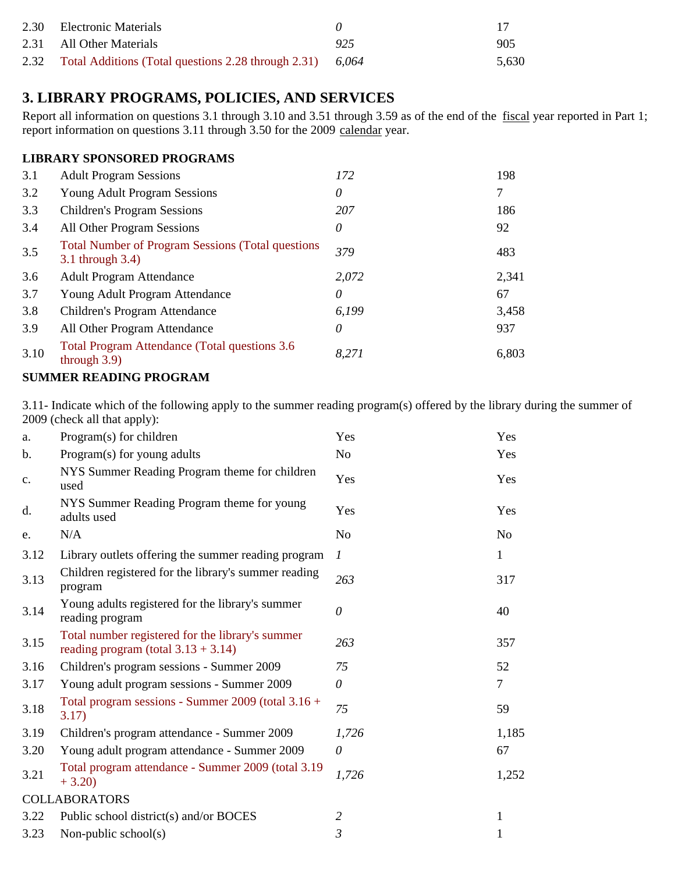| 2.30 Electronic Materials                                      |     | -17   |
|----------------------------------------------------------------|-----|-------|
| 2.31 All Other Materials                                       | 925 | 905   |
| 2.32 Total Additions (Total questions 2.28 through 2.31) 6,064 |     | 5.630 |

## **3. LIBRARY PROGRAMS, POLICIES, AND SERVICES**

Report all information on questions 3.1 through 3.10 and 3.51 through 3.59 as of the end of the fiscal year reported in Part 1; report information on questions 3.11 through 3.50 for the 2009 calendar year.

#### **LIBRARY SPONSORED PROGRAMS**

| 3.1  | <b>Adult Program Sessions</b>                                                 | 172      | 198   |
|------|-------------------------------------------------------------------------------|----------|-------|
| 3.2  | <b>Young Adult Program Sessions</b>                                           | $\theta$ | 7     |
| 3.3  | <b>Children's Program Sessions</b>                                            | 207      | 186   |
| 3.4  | All Other Program Sessions                                                    | 0        | 92    |
| 3.5  | <b>Total Number of Program Sessions (Total questions)</b><br>3.1 through 3.4) | 379      | 483   |
| 3.6  | <b>Adult Program Attendance</b>                                               | 2,072    | 2,341 |
| 3.7  | Young Adult Program Attendance                                                | 0        | 67    |
| 3.8  | Children's Program Attendance                                                 | 6,199    | 3,458 |
| 3.9  | All Other Program Attendance                                                  | $\theta$ | 937   |
| 3.10 | <b>Total Program Attendance (Total questions 3.6)</b><br>through $3.9$ )      | 8,271    | 6,803 |

#### **SUMMER READING PROGRAM**

3.11- Indicate which of the following apply to the summer reading program(s) offered by the library during the summer of 2009 (check all that apply):

| a.   | Program(s) for children                                                                    | Yes            | Yes            |
|------|--------------------------------------------------------------------------------------------|----------------|----------------|
| b.   | Program(s) for young adults                                                                | N <sub>o</sub> | Yes            |
| c.   | NYS Summer Reading Program theme for children<br>used                                      | Yes            | Yes            |
| d.   | NYS Summer Reading Program theme for young<br>adults used                                  | Yes            | Yes            |
| e.   | N/A                                                                                        | N <sub>o</sub> | N <sub>o</sub> |
| 3.12 | Library outlets offering the summer reading program                                        | 1              | 1              |
| 3.13 | Children registered for the library's summer reading<br>program                            | 263            | 317            |
| 3.14 | Young adults registered for the library's summer<br>reading program                        | $\theta$       | 40             |
| 3.15 | Total number registered for the library's summer<br>reading program (total $3.13 + 3.14$ ) | 263            | 357            |
| 3.16 | Children's program sessions - Summer 2009                                                  | 75             | 52             |
| 3.17 | Young adult program sessions - Summer 2009                                                 | $\theta$       | 7              |
| 3.18 | Total program sessions - Summer 2009 (total 3.16 +<br>3.17)                                | 75             | 59             |
| 3.19 | Children's program attendance - Summer 2009                                                | 1,726          | 1,185          |
| 3.20 | Young adult program attendance - Summer 2009                                               | $\theta$       | 67             |
| 3.21 | Total program attendance - Summer 2009 (total 3.19)<br>$+3.20$                             | 1,726          | 1,252          |
|      | <b>COLLABORATORS</b>                                                                       |                |                |
| 3.22 | Public school district(s) and/or BOCES                                                     | 2              | 1              |
| 3.23 | Non-public school $(s)$                                                                    | 3              | 1              |
|      |                                                                                            |                |                |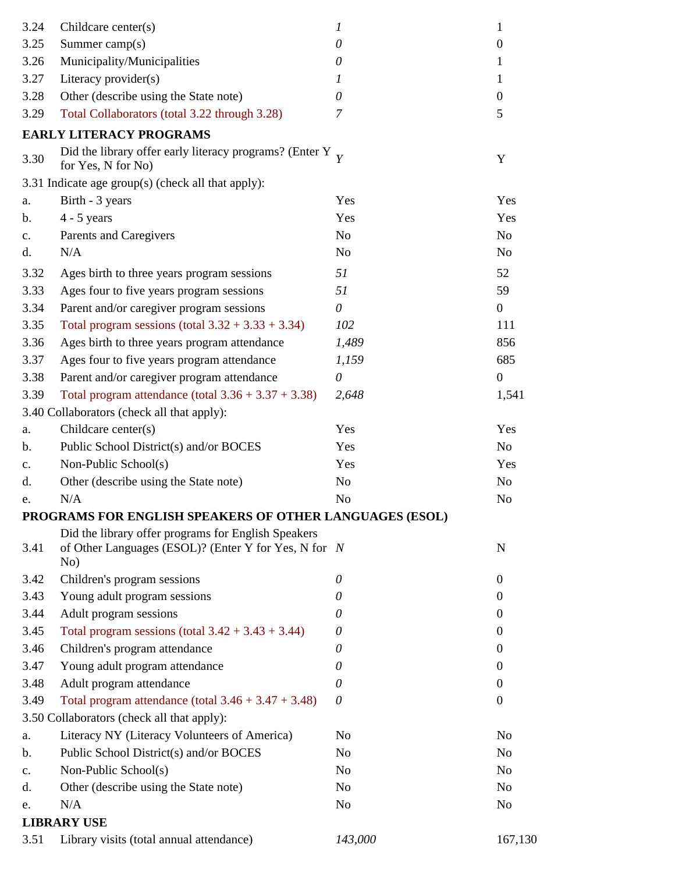| 3.24           | Childcare center(s)                                                                                                | 1              | $\mathbf{1}$     |
|----------------|--------------------------------------------------------------------------------------------------------------------|----------------|------------------|
| 3.25           | Summer camp(s)                                                                                                     | $\theta$       | $\boldsymbol{0}$ |
| 3.26           | Municipality/Municipalities                                                                                        | 0              | 1                |
| 3.27           | Literacy provider(s)                                                                                               | 1              | $\mathbf 1$      |
| 3.28           | Other (describe using the State note)                                                                              | $\theta$       | $\boldsymbol{0}$ |
| 3.29           | Total Collaborators (total 3.22 through 3.28)                                                                      | 7              | 5                |
|                | <b>EARLY LITERACY PROGRAMS</b>                                                                                     |                |                  |
| 3.30           | Did the library offer early literacy programs? (Enter Y $\frac{1}{Y}$<br>for Yes, N for No)                        |                | Y                |
|                | 3.31 Indicate age group(s) (check all that apply):                                                                 |                |                  |
| a.             | Birth - 3 years                                                                                                    | Yes            | Yes              |
| b.             | $4 - 5$ years                                                                                                      | Yes            | Yes              |
| $\mathbf{c}$ . | Parents and Caregivers                                                                                             | N <sub>0</sub> | N <sub>o</sub>   |
| d.             | N/A                                                                                                                | N <sub>0</sub> | N <sub>o</sub>   |
| 3.32           | Ages birth to three years program sessions                                                                         | 51             | 52               |
| 3.33           | Ages four to five years program sessions                                                                           | 51             | 59               |
| 3.34           | Parent and/or caregiver program sessions                                                                           | $\theta$       | $\overline{0}$   |
| 3.35           | Total program sessions (total $3.32 + 3.33 + 3.34$ )                                                               | 102            | 111              |
| 3.36           | Ages birth to three years program attendance                                                                       | 1,489          | 856              |
| 3.37           | Ages four to five years program attendance                                                                         | 1,159          | 685              |
| 3.38           | Parent and/or caregiver program attendance                                                                         | $\theta$       | $\overline{0}$   |
| 3.39           | Total program attendance (total $3.36 + 3.37 + 3.38$ )                                                             | 2,648          | 1,541            |
|                | 3.40 Collaborators (check all that apply):                                                                         |                |                  |
| a.             | Childcare center(s)                                                                                                | Yes            | Yes              |
| b.             | Public School District(s) and/or BOCES                                                                             | Yes            | N <sub>o</sub>   |
| $\mathbf{c}$ . | Non-Public School(s)                                                                                               | Yes            | Yes              |
| d.             | Other (describe using the State note)                                                                              | N <sub>0</sub> | N <sub>o</sub>   |
| e.             | N/A                                                                                                                | N <sub>0</sub> | N <sub>o</sub>   |
|                | PROGRAMS FOR ENGLISH SPEAKERS OF OTHER LANGUAGES (ESOL)                                                            |                |                  |
| 3.41           | Did the library offer programs for English Speakers<br>of Other Languages (ESOL)? (Enter Y for Yes, N for N<br>No) |                | $\mathbf N$      |
| 3.42           | Children's program sessions                                                                                        | 0              | $\overline{0}$   |
| 3.43           | Young adult program sessions                                                                                       | 0              | $\theta$         |
| 3.44           | Adult program sessions                                                                                             | 0              | $\overline{0}$   |
| 3.45           | Total program sessions (total $3.42 + 3.43 + 3.44$ )                                                               | $\theta$       | $\theta$         |
| 3.46           | Children's program attendance                                                                                      | 0              | $\theta$         |
| 3.47           | Young adult program attendance                                                                                     | $\theta$       | $\overline{0}$   |
| 3.48           | Adult program attendance                                                                                           | $\theta$       | $\overline{0}$   |
| 3.49           | Total program attendance (total $3.46 + 3.47 + 3.48$ )                                                             | $\theta$       | $\boldsymbol{0}$ |
|                | 3.50 Collaborators (check all that apply):                                                                         |                |                  |
| a.             | Literacy NY (Literacy Volunteers of America)                                                                       | N <sub>0</sub> | N <sub>o</sub>   |
| b.             | Public School District(s) and/or BOCES                                                                             | N <sub>0</sub> | N <sub>o</sub>   |
| c.             | Non-Public School(s)                                                                                               | No             | N <sub>o</sub>   |
| d.             | Other (describe using the State note)                                                                              | N <sub>o</sub> | N <sub>o</sub>   |
| e.             | N/A                                                                                                                | No             | N <sub>o</sub>   |
|                | <b>LIBRARY USE</b>                                                                                                 |                |                  |
| 3.51           | Library visits (total annual attendance)                                                                           | 143,000        | 167,130          |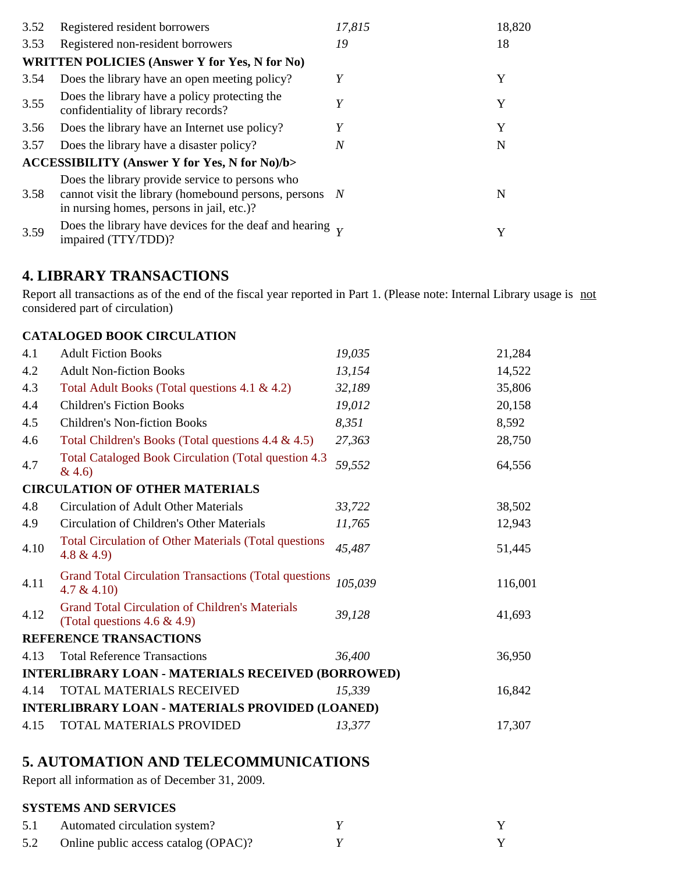| 3.52 | Registered resident borrowers                                                                                                                          | 17,815 | 18,820 |
|------|--------------------------------------------------------------------------------------------------------------------------------------------------------|--------|--------|
| 3.53 | Registered non-resident borrowers                                                                                                                      | 19     | 18     |
|      | <b>WRITTEN POLICIES (Answer Y for Yes, N for No)</b>                                                                                                   |        |        |
| 3.54 | Does the library have an open meeting policy?                                                                                                          | Y      | Y      |
| 3.55 | Does the library have a policy protecting the<br>confidentiality of library records?                                                                   | Y      | Y      |
| 3.56 | Does the library have an Internet use policy?                                                                                                          | Y      | Y      |
| 3.57 | Does the library have a disaster policy?                                                                                                               | N      | N      |
|      | <b>ACCESSIBILITY (Answer Y for Yes, N for No)/b&gt;</b>                                                                                                |        |        |
| 3.58 | Does the library provide service to persons who<br>cannot visit the library (homebound persons, persons N<br>in nursing homes, persons in jail, etc.)? |        | N      |
| 3.59 | Does the library have devices for the deaf and hearing $\bar{v}$<br>impaired (TTY/TDD)?                                                                |        | Y      |

### **4. LIBRARY TRANSACTIONS**

Report all transactions as of the end of the fiscal year reported in Part 1. (Please note: Internal Library usage is not considered part of circulation)

#### **CATALOGED BOOK CIRCULATION**

| 4.1  | <b>Adult Fiction Books</b>                                                                | 19,035  | 21,284  |
|------|-------------------------------------------------------------------------------------------|---------|---------|
| 4.2  | <b>Adult Non-fiction Books</b>                                                            | 13,154  | 14,522  |
| 4.3  | Total Adult Books (Total questions 4.1 & 4.2)                                             | 32,189  | 35,806  |
| 4.4  | <b>Children's Fiction Books</b>                                                           | 19,012  | 20,158  |
| 4.5  | <b>Children's Non-fiction Books</b>                                                       | 8,351   | 8,592   |
| 4.6  | Total Children's Books (Total questions 4.4 & 4.5)                                        | 27,363  | 28,750  |
| 4.7  | Total Cataloged Book Circulation (Total question 4.3)<br>& 4.6)                           | 59,552  | 64,556  |
|      | <b>CIRCULATION OF OTHER MATERIALS</b>                                                     |         |         |
| 4.8  | Circulation of Adult Other Materials                                                      | 33,722  | 38,502  |
| 4.9  | Circulation of Children's Other Materials                                                 | 11,765  | 12,943  |
| 4.10 | <b>Total Circulation of Other Materials (Total questions</b><br>$4.8 \& 4.9$              | 45,487  | 51,445  |
| 4.11 | <b>Grand Total Circulation Transactions (Total questions</b><br>4.7 & 4.10)               | 105,039 | 116,001 |
| 4.12 | <b>Grand Total Circulation of Children's Materials</b><br>(Total questions $4.6 \& 4.9$ ) | 39,128  | 41,693  |
|      | REFERENCE TRANSACTIONS                                                                    |         |         |
| 4.13 | <b>Total Reference Transactions</b>                                                       | 36,400  | 36,950  |
|      | <b>INTERLIBRARY LOAN - MATERIALS RECEIVED (BORROWED)</b>                                  |         |         |
| 4.14 | TOTAL MATERIALS RECEIVED                                                                  | 15,339  | 16,842  |
|      | <b>INTERLIBRARY LOAN - MATERIALS PROVIDED (LOANED)</b>                                    |         |         |
| 4.15 | TOTAL MATERIALS PROVIDED                                                                  | 13,377  | 17,307  |

## **5. AUTOMATION AND TELECOMMUNICATIONS**

Report all information as of December 31, 2009.

### **SYSTEMS AND SERVICES**

| 5.1 | Automated circulation system?        |  |
|-----|--------------------------------------|--|
| 5.2 | Online public access catalog (OPAC)? |  |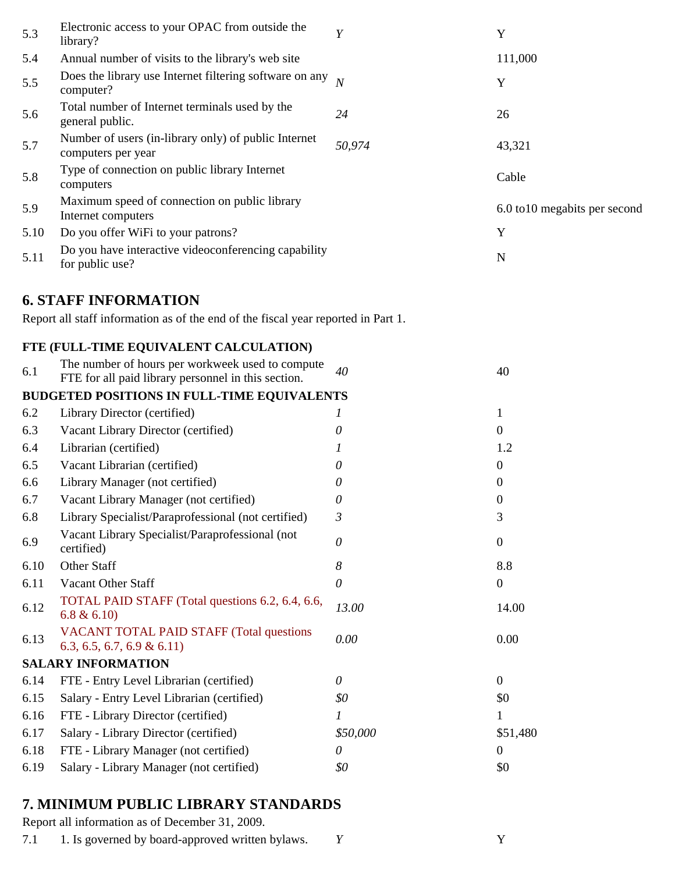| 5.3  | Electronic access to your OPAC from outside the<br>library?                                             | Y                         | Y                             |
|------|---------------------------------------------------------------------------------------------------------|---------------------------|-------------------------------|
| 5.4  | Annual number of visits to the library's web site                                                       |                           | 111,000                       |
| 5.5  | Does the library use Internet filtering software on any<br>computer?                                    | $\overline{N}$            | Y                             |
| 5.6  | Total number of Internet terminals used by the<br>general public.                                       | 24                        | 26                            |
| 5.7  | Number of users (in-library only) of public Internet<br>computers per year                              | 50,974                    | 43,321                        |
| 5.8  | Type of connection on public library Internet<br>computers                                              |                           | Cable                         |
| 5.9  | Maximum speed of connection on public library<br>Internet computers                                     |                           | 6.0 to 10 megabits per second |
| 5.10 | Do you offer WiFi to your patrons?                                                                      |                           | Y                             |
| 5.11 | Do you have interactive videoconferencing capability<br>for public use?                                 |                           | N                             |
|      | <b>6. STAFF INFORMATION</b>                                                                             |                           |                               |
|      | Report all staff information as of the end of the fiscal year reported in Part 1.                       |                           |                               |
|      | FTE (FULL-TIME EQUIVALENT CALCULATION)                                                                  |                           |                               |
| 6.1  | The number of hours per workweek used to compute<br>FTE for all paid library personnel in this section. | 40                        | 40                            |
|      | <b>BUDGETED POSITIONS IN FULL-TIME EQUIVALENTS</b>                                                      |                           |                               |
| 6.2  | Library Director (certified)                                                                            | 1                         | $\mathbf{1}$                  |
| 6.3  | Vacant Library Director (certified)                                                                     | 0                         | $\boldsymbol{0}$              |
| 6.4  | Librarian (certified)                                                                                   |                           | 1.2                           |
| 6.5  | Vacant Librarian (certified)                                                                            | 0                         | 0                             |
| 6.6  | Library Manager (not certified)                                                                         | 0                         | 0                             |
| 6.7  | Vacant Library Manager (not certified)                                                                  | 0                         | $\boldsymbol{0}$              |
| 6.8  | Library Specialist/Paraprofessional (not certified)                                                     | 3                         | 3                             |
| 6.9  | Vacant Library Specialist/Paraprofessional (not<br>certified)                                           | 0                         | $\boldsymbol{0}$              |
| 6.10 | Other Staff                                                                                             | 8                         | 8.8                           |
| 6.11 | Vacant Other Staff                                                                                      | $\boldsymbol{\mathit{0}}$ | $\boldsymbol{0}$              |
| 6.12 | TOTAL PAID STAFF (Total questions 6.2, 6.4, 6.6,<br>6.8 & 6.10                                          | 13.00                     | 14.00                         |
| 6.13 | <b>VACANT TOTAL PAID STAFF (Total questions</b><br>$6.3, 6.5, 6.7, 6.9 \& 6.11$                         | 0.00                      | 0.00                          |
|      | <b>SALARY INFORMATION</b>                                                                               |                           |                               |
| 6.14 | FTE - Entry Level Librarian (certified)                                                                 | 0                         | $\boldsymbol{0}$              |
| 6.15 | Salary - Entry Level Librarian (certified)                                                              | \$0                       | \$0                           |
| 6.16 | FTE - Library Director (certified)                                                                      | 1                         | 1                             |
| 6.17 | Salary - Library Director (certified)                                                                   | \$50,000                  | \$51,480                      |
| 6.18 | FTE - Library Manager (not certified)                                                                   | 0                         | $\mathbf{0}$                  |
| 6.19 | Salary - Library Manager (not certified)                                                                | \$0                       | \$0                           |

# **7. MINIMUM PUBLIC LIBRARY STANDARDS**

Report all information as of December 31, 2009.

7.1 1. Is governed by board-approved written bylaws. *Y* Y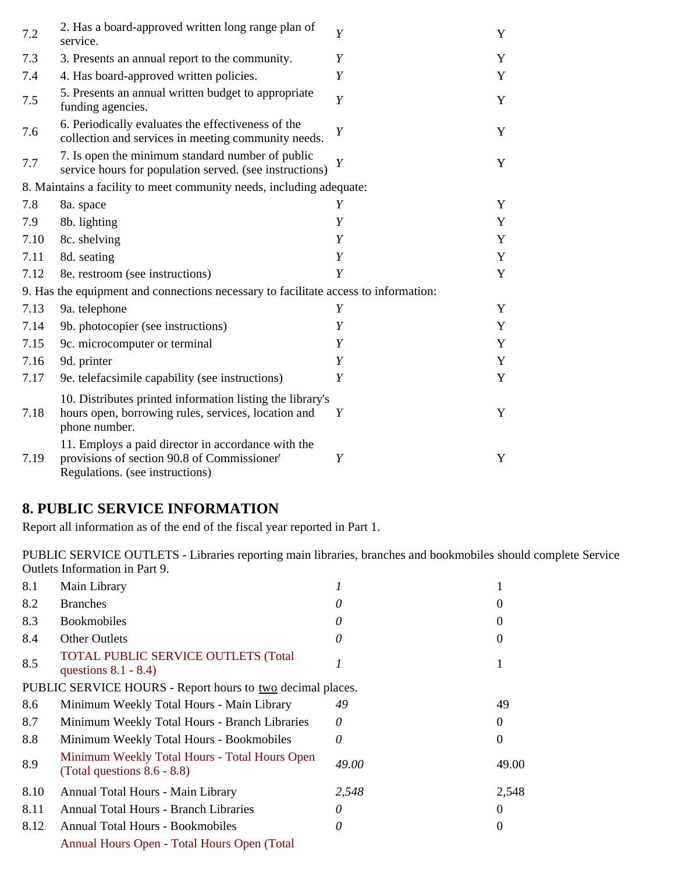| 7.2  | 2. Has a board-approved written long range plan of<br>service.                                                                       | Y | Y |
|------|--------------------------------------------------------------------------------------------------------------------------------------|---|---|
| 7.3  | 3. Presents an annual report to the community.                                                                                       | Y | Y |
| 7.4  | 4. Has board-approved written policies.                                                                                              | Y | Y |
| 7.5  | 5. Presents an annual written budget to appropriate<br>funding agencies.                                                             | Y | Y |
| 7.6  | 6. Periodically evaluates the effectiveness of the<br>collection and services in meeting community needs.                            | Y | Y |
| 7.7  | 7. Is open the minimum standard number of public<br>service hours for population served. (see instructions)                          | Y | Y |
|      | 8. Maintains a facility to meet community needs, including adequate:                                                                 |   |   |
| 7.8  | 8a. space                                                                                                                            | Y | Y |
| 7.9  | 8b. lighting                                                                                                                         | Y | Y |
| 7.10 | 8c. shelving                                                                                                                         | Y | Y |
| 7.11 | 8d. seating                                                                                                                          | Y | Y |
| 7.12 | 8e. restroom (see instructions)                                                                                                      | Y | Y |
|      | 9. Has the equipment and connections necessary to facilitate access to information:                                                  |   |   |
| 7.13 | 9a. telephone                                                                                                                        | Y | Y |
| 7.14 | 9b. photocopier (see instructions)                                                                                                   | Y | Y |
| 7.15 | 9c. microcomputer or terminal                                                                                                        | Y | Y |
| 7.16 | 9d. printer                                                                                                                          | Y | Y |
| 7.17 | 9e. telefacsimile capability (see instructions)                                                                                      | Y | Y |
| 7.18 | 10. Distributes printed information listing the library's<br>hours open, borrowing rules, services, location and<br>phone number.    | Y | Y |
| 7.19 | 11. Employs a paid director in accordance with the<br>provisions of section 90.8 of Commissioner'<br>Regulations. (see instructions) | Y | Y |

### **8. PUBLIC SERVICE INFORMATION**

Report all information as of the end of the fiscal year reported in Part 1.

PUBLIC SERVICE OUTLETS - Libraries reporting main libraries, branches and bookmobiles should complete Service Outlets Information in Part 9.

| 8.1  | Main Library                                                                    |       |       |
|------|---------------------------------------------------------------------------------|-------|-------|
| 8.2  | <b>Branches</b>                                                                 | O     |       |
| 8.3  | <b>Bookmobiles</b>                                                              | 0     |       |
| 8.4  | <b>Other Outlets</b>                                                            | 0     |       |
| 8.5  | <b>TOTAL PUBLIC SERVICE OUTLETS (Total</b><br>questions $8.1 - 8.4$ )           |       |       |
|      | PUBLIC SERVICE HOURS - Report hours to two decimal places.                      |       |       |
| 8.6  | Minimum Weekly Total Hours - Main Library                                       | 49    | 49    |
| 8.7  | Minimum Weekly Total Hours - Branch Libraries                                   | 0     |       |
| 8.8  | Minimum Weekly Total Hours - Bookmobiles                                        | 0     |       |
| 8.9  | Minimum Weekly Total Hours - Total Hours Open<br>(Total questions $8.6 - 8.8$ ) | 49.00 | 49.00 |
| 8.10 | Annual Total Hours - Main Library                                               | 2,548 | 2,548 |
| 8.11 | Annual Total Hours - Branch Libraries                                           | 0     |       |
| 8.12 | Annual Total Hours - Bookmobiles                                                | 0     |       |
|      | Annual Hours Open - Total Hours Open (Total                                     |       |       |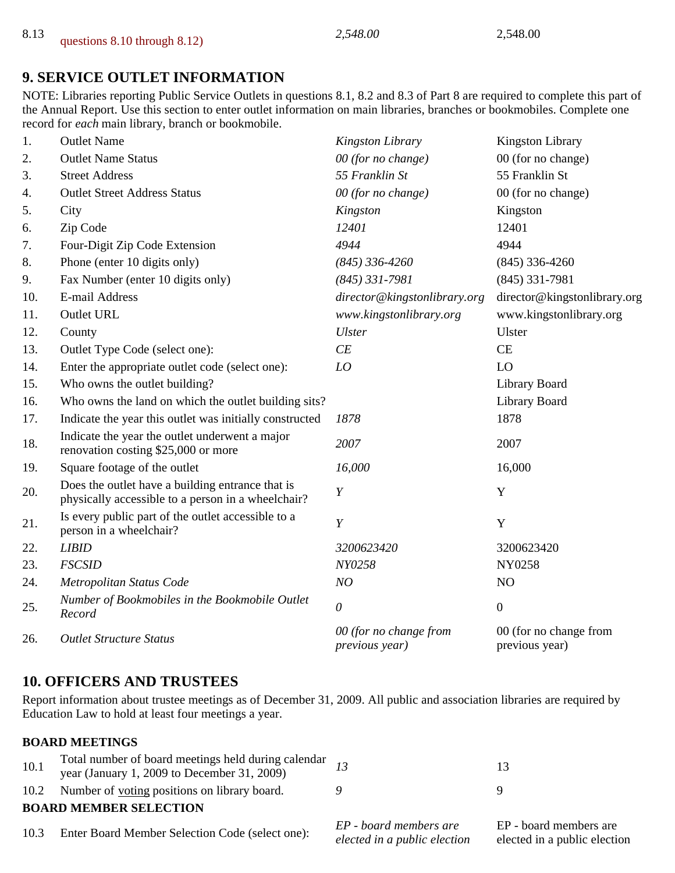## **9. SERVICE OUTLET INFORMATION**

NOTE: Libraries reporting Public Service Outlets in questions 8.1, 8.2 and 8.3 of Part 8 are required to complete this part of the Annual Report. Use this section to enter outlet information on main libraries, branches or bookmobiles. Complete one record for *each* main library, branch or bookmobile.

| 1.  | <b>Outlet Name</b>                                                                                     | Kingston Library                         | <b>Kingston Library</b>                  |
|-----|--------------------------------------------------------------------------------------------------------|------------------------------------------|------------------------------------------|
| 2.  | <b>Outlet Name Status</b>                                                                              | 00 (for no change)                       | 00 (for no change)                       |
| 3.  | <b>Street Address</b>                                                                                  | 55 Franklin St                           | 55 Franklin St                           |
| 4.  | <b>Outlet Street Address Status</b>                                                                    | 00 (for no change)                       | 00 (for no change)                       |
| 5.  | City                                                                                                   | Kingston                                 | Kingston                                 |
| 6.  | Zip Code                                                                                               | 12401                                    | 12401                                    |
| 7.  | Four-Digit Zip Code Extension                                                                          | 4944                                     | 4944                                     |
| 8.  | Phone (enter 10 digits only)                                                                           | $(845)$ 336-4260                         | $(845)$ 336-4260                         |
| 9.  | Fax Number (enter 10 digits only)                                                                      | $(845)$ 331-7981                         | $(845)$ 331-7981                         |
| 10. | E-mail Address                                                                                         | director@kingstonlibrary.org             | director@kingstonlibrary.org             |
| 11. | <b>Outlet URL</b>                                                                                      | www.kingstonlibrary.org                  | www.kingstonlibrary.org                  |
| 12. | County                                                                                                 | <b>Ulster</b>                            | Ulster                                   |
| 13. | Outlet Type Code (select one):                                                                         | CE                                       | CE                                       |
| 14. | Enter the appropriate outlet code (select one):                                                        | LO                                       | LO                                       |
| 15. | Who owns the outlet building?                                                                          |                                          | Library Board                            |
| 16. | Who owns the land on which the outlet building sits?                                                   |                                          | Library Board                            |
| 17. | Indicate the year this outlet was initially constructed                                                | 1878                                     | 1878                                     |
| 18. | Indicate the year the outlet underwent a major<br>renovation costing \$25,000 or more                  | 2007                                     | 2007                                     |
| 19. | Square footage of the outlet                                                                           | 16,000                                   | 16,000                                   |
| 20. | Does the outlet have a building entrance that is<br>physically accessible to a person in a wheelchair? | $\boldsymbol{Y}$                         | Y                                        |
| 21. | Is every public part of the outlet accessible to a<br>person in a wheelchair?                          | $\boldsymbol{Y}$                         | Y                                        |
| 22. | <b>LIBID</b>                                                                                           | 3200623420                               | 3200623420                               |
| 23. | <b>FSCSID</b>                                                                                          | NY0258                                   | NY0258                                   |
| 24. | Metropolitan Status Code                                                                               | NO                                       | N <sub>O</sub>                           |
| 25. | Number of Bookmobiles in the Bookmobile Outlet<br>Record                                               | $\theta$                                 | $\mathbf{0}$                             |
| 26. | <b>Outlet Structure Status</b>                                                                         | 00 (for no change from<br>previous year) | 00 (for no change from<br>previous year) |

## **10. OFFICERS AND TRUSTEES**

Report information about trustee meetings as of December 31, 2009. All public and association libraries are required by Education Law to hold at least four meetings a year.

### **BOARD MEETINGS**

| 10.1 | Total number of board meetings held during calendar $\frac{13}{13}$<br>year (January 1, 2009 to December 31, 2009) |                                                        | 13                                                     |
|------|--------------------------------------------------------------------------------------------------------------------|--------------------------------------------------------|--------------------------------------------------------|
|      | 10.2 Number of voting positions on library board.                                                                  |                                                        |                                                        |
|      | <b>BOARD MEMBER SELECTION</b>                                                                                      |                                                        |                                                        |
| 10.3 | Enter Board Member Selection Code (select one):                                                                    | EP - board members are<br>elected in a public election | EP - board members are<br>elected in a public election |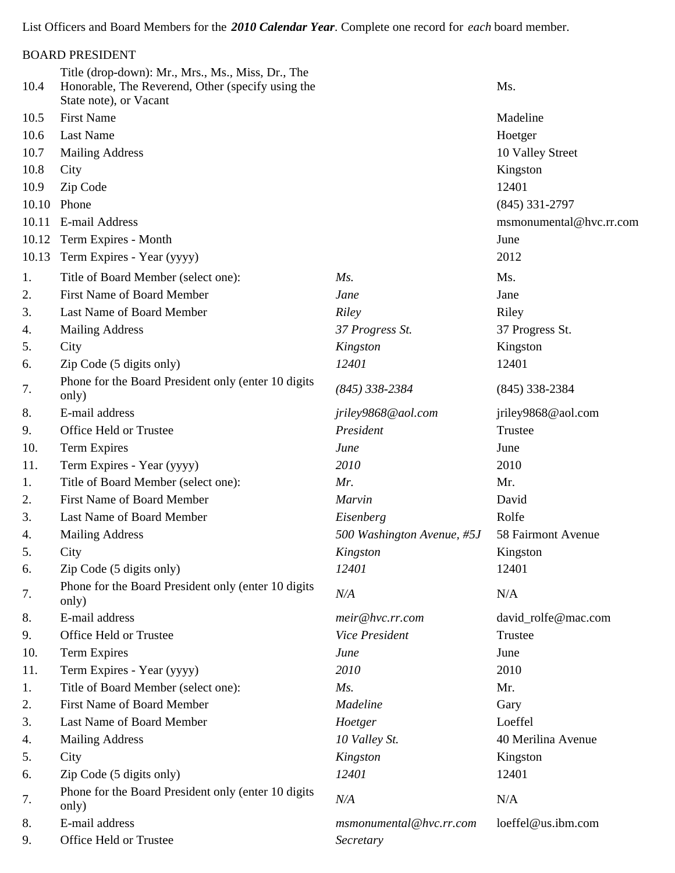List Officers and Board Members for the *2010 Calendar Year*. Complete one record for *each* board member.

| Title (drop-down): Mr., Mrs., Ms., Miss, Dr., The<br>10.4<br>Honorable, The Reverend, Other (specify using the<br>Ms.<br>State note), or Vacant<br><b>First Name</b><br>10.5<br>Madeline<br>10.6<br><b>Last Name</b><br>Hoetger<br>10.7<br><b>Mailing Address</b><br>10 Valley Street<br>10.8<br>City<br>Kingston<br>12401<br>10.9<br>Zip Code<br>10.10<br>Phone<br>$(845)$ 331-2797<br>E-mail Address<br>msmonumental@hvc.rr.com<br>10.11<br>Term Expires - Month<br>10.12<br>June<br>10.13<br>Term Expires - Year (yyyy)<br>2012<br>Title of Board Member (select one):<br>Ms.<br>Ms.<br>1.<br><b>First Name of Board Member</b><br>2.<br>Jane<br>Jane<br>Last Name of Board Member<br>Riley<br>3.<br>Riley<br>37 Progress St.<br>37 Progress St.<br><b>Mailing Address</b><br>4.<br>Kingston<br>5.<br>City<br>Kingston<br>12401<br>Zip Code (5 digits only)<br>12401<br>6.<br>Phone for the Board President only (enter 10 digits<br>$(845)$ 338-2384<br>7.<br>$(845)$ 338-2384<br>only)<br>E-mail address<br>jriley9868@aol.com<br>jriley9868@aol.com<br>Office Held or Trustee<br>President<br>Trustee<br>10.<br>Term Expires<br>June<br>June<br>2010<br>2010<br>11.<br>Term Expires - Year (yyyy)<br>Title of Board Member (select one):<br>Mr.<br>Mr.<br>1.<br><b>First Name of Board Member</b><br>Marvin<br>2.<br>David<br>Last Name of Board Member<br>Eisenberg<br>3.<br>Rolfe<br><b>Mailing Address</b><br>500 Washington Avenue, #5J<br>58 Fairmont Avenue<br>4.<br>City<br>Kingston<br>5.<br>Kingston<br>Zip Code (5 digits only)<br>12401<br>12401<br>6.<br>Phone for the Board President only (enter 10 digits<br>N/A<br>7.<br>N/A<br>only)<br>E-mail address<br>8.<br>meir@hvc.rr.com<br>david_rolfe@mac.com<br>Office Held or Trustee<br>Vice President<br>Trustee<br><b>Term Expires</b><br>10.<br>June<br>June<br>Term Expires - Year (yyyy)<br>2010<br>2010<br>11.<br>Title of Board Member (select one):<br>$Ms$ .<br>Mr.<br>1.<br>First Name of Board Member<br>2.<br>Madeline<br>Gary<br>Last Name of Board Member<br>Loeffel<br>3.<br>Hoetger<br><b>Mailing Address</b><br>10 Valley St.<br>40 Merilina Avenue<br>4.<br>City<br>Kingston<br>Kingston<br>5.<br>Zip Code (5 digits only)<br>12401<br>12401<br>6.<br>Phone for the Board President only (enter 10 digits<br>N/A<br>N/A<br>7.<br>only) |    | <b>BOARD PRESIDENT</b> |                         |                    |
|-----------------------------------------------------------------------------------------------------------------------------------------------------------------------------------------------------------------------------------------------------------------------------------------------------------------------------------------------------------------------------------------------------------------------------------------------------------------------------------------------------------------------------------------------------------------------------------------------------------------------------------------------------------------------------------------------------------------------------------------------------------------------------------------------------------------------------------------------------------------------------------------------------------------------------------------------------------------------------------------------------------------------------------------------------------------------------------------------------------------------------------------------------------------------------------------------------------------------------------------------------------------------------------------------------------------------------------------------------------------------------------------------------------------------------------------------------------------------------------------------------------------------------------------------------------------------------------------------------------------------------------------------------------------------------------------------------------------------------------------------------------------------------------------------------------------------------------------------------------------------------------------------------------------------------------------------------------------------------------------------------------------------------------------------------------------------------------------------------------------------------------------------------------------------------------------------------------------------------------------------------------------------------------------------------------------------------|----|------------------------|-------------------------|--------------------|
|                                                                                                                                                                                                                                                                                                                                                                                                                                                                                                                                                                                                                                                                                                                                                                                                                                                                                                                                                                                                                                                                                                                                                                                                                                                                                                                                                                                                                                                                                                                                                                                                                                                                                                                                                                                                                                                                                                                                                                                                                                                                                                                                                                                                                                                                                                                             |    |                        |                         |                    |
|                                                                                                                                                                                                                                                                                                                                                                                                                                                                                                                                                                                                                                                                                                                                                                                                                                                                                                                                                                                                                                                                                                                                                                                                                                                                                                                                                                                                                                                                                                                                                                                                                                                                                                                                                                                                                                                                                                                                                                                                                                                                                                                                                                                                                                                                                                                             |    |                        |                         |                    |
|                                                                                                                                                                                                                                                                                                                                                                                                                                                                                                                                                                                                                                                                                                                                                                                                                                                                                                                                                                                                                                                                                                                                                                                                                                                                                                                                                                                                                                                                                                                                                                                                                                                                                                                                                                                                                                                                                                                                                                                                                                                                                                                                                                                                                                                                                                                             |    |                        |                         |                    |
|                                                                                                                                                                                                                                                                                                                                                                                                                                                                                                                                                                                                                                                                                                                                                                                                                                                                                                                                                                                                                                                                                                                                                                                                                                                                                                                                                                                                                                                                                                                                                                                                                                                                                                                                                                                                                                                                                                                                                                                                                                                                                                                                                                                                                                                                                                                             |    |                        |                         |                    |
|                                                                                                                                                                                                                                                                                                                                                                                                                                                                                                                                                                                                                                                                                                                                                                                                                                                                                                                                                                                                                                                                                                                                                                                                                                                                                                                                                                                                                                                                                                                                                                                                                                                                                                                                                                                                                                                                                                                                                                                                                                                                                                                                                                                                                                                                                                                             |    |                        |                         |                    |
|                                                                                                                                                                                                                                                                                                                                                                                                                                                                                                                                                                                                                                                                                                                                                                                                                                                                                                                                                                                                                                                                                                                                                                                                                                                                                                                                                                                                                                                                                                                                                                                                                                                                                                                                                                                                                                                                                                                                                                                                                                                                                                                                                                                                                                                                                                                             |    |                        |                         |                    |
|                                                                                                                                                                                                                                                                                                                                                                                                                                                                                                                                                                                                                                                                                                                                                                                                                                                                                                                                                                                                                                                                                                                                                                                                                                                                                                                                                                                                                                                                                                                                                                                                                                                                                                                                                                                                                                                                                                                                                                                                                                                                                                                                                                                                                                                                                                                             |    |                        |                         |                    |
|                                                                                                                                                                                                                                                                                                                                                                                                                                                                                                                                                                                                                                                                                                                                                                                                                                                                                                                                                                                                                                                                                                                                                                                                                                                                                                                                                                                                                                                                                                                                                                                                                                                                                                                                                                                                                                                                                                                                                                                                                                                                                                                                                                                                                                                                                                                             |    |                        |                         |                    |
|                                                                                                                                                                                                                                                                                                                                                                                                                                                                                                                                                                                                                                                                                                                                                                                                                                                                                                                                                                                                                                                                                                                                                                                                                                                                                                                                                                                                                                                                                                                                                                                                                                                                                                                                                                                                                                                                                                                                                                                                                                                                                                                                                                                                                                                                                                                             |    |                        |                         |                    |
|                                                                                                                                                                                                                                                                                                                                                                                                                                                                                                                                                                                                                                                                                                                                                                                                                                                                                                                                                                                                                                                                                                                                                                                                                                                                                                                                                                                                                                                                                                                                                                                                                                                                                                                                                                                                                                                                                                                                                                                                                                                                                                                                                                                                                                                                                                                             |    |                        |                         |                    |
|                                                                                                                                                                                                                                                                                                                                                                                                                                                                                                                                                                                                                                                                                                                                                                                                                                                                                                                                                                                                                                                                                                                                                                                                                                                                                                                                                                                                                                                                                                                                                                                                                                                                                                                                                                                                                                                                                                                                                                                                                                                                                                                                                                                                                                                                                                                             |    |                        |                         |                    |
|                                                                                                                                                                                                                                                                                                                                                                                                                                                                                                                                                                                                                                                                                                                                                                                                                                                                                                                                                                                                                                                                                                                                                                                                                                                                                                                                                                                                                                                                                                                                                                                                                                                                                                                                                                                                                                                                                                                                                                                                                                                                                                                                                                                                                                                                                                                             |    |                        |                         |                    |
|                                                                                                                                                                                                                                                                                                                                                                                                                                                                                                                                                                                                                                                                                                                                                                                                                                                                                                                                                                                                                                                                                                                                                                                                                                                                                                                                                                                                                                                                                                                                                                                                                                                                                                                                                                                                                                                                                                                                                                                                                                                                                                                                                                                                                                                                                                                             |    |                        |                         |                    |
|                                                                                                                                                                                                                                                                                                                                                                                                                                                                                                                                                                                                                                                                                                                                                                                                                                                                                                                                                                                                                                                                                                                                                                                                                                                                                                                                                                                                                                                                                                                                                                                                                                                                                                                                                                                                                                                                                                                                                                                                                                                                                                                                                                                                                                                                                                                             |    |                        |                         |                    |
|                                                                                                                                                                                                                                                                                                                                                                                                                                                                                                                                                                                                                                                                                                                                                                                                                                                                                                                                                                                                                                                                                                                                                                                                                                                                                                                                                                                                                                                                                                                                                                                                                                                                                                                                                                                                                                                                                                                                                                                                                                                                                                                                                                                                                                                                                                                             |    |                        |                         |                    |
|                                                                                                                                                                                                                                                                                                                                                                                                                                                                                                                                                                                                                                                                                                                                                                                                                                                                                                                                                                                                                                                                                                                                                                                                                                                                                                                                                                                                                                                                                                                                                                                                                                                                                                                                                                                                                                                                                                                                                                                                                                                                                                                                                                                                                                                                                                                             |    |                        |                         |                    |
|                                                                                                                                                                                                                                                                                                                                                                                                                                                                                                                                                                                                                                                                                                                                                                                                                                                                                                                                                                                                                                                                                                                                                                                                                                                                                                                                                                                                                                                                                                                                                                                                                                                                                                                                                                                                                                                                                                                                                                                                                                                                                                                                                                                                                                                                                                                             |    |                        |                         |                    |
|                                                                                                                                                                                                                                                                                                                                                                                                                                                                                                                                                                                                                                                                                                                                                                                                                                                                                                                                                                                                                                                                                                                                                                                                                                                                                                                                                                                                                                                                                                                                                                                                                                                                                                                                                                                                                                                                                                                                                                                                                                                                                                                                                                                                                                                                                                                             |    |                        |                         |                    |
|                                                                                                                                                                                                                                                                                                                                                                                                                                                                                                                                                                                                                                                                                                                                                                                                                                                                                                                                                                                                                                                                                                                                                                                                                                                                                                                                                                                                                                                                                                                                                                                                                                                                                                                                                                                                                                                                                                                                                                                                                                                                                                                                                                                                                                                                                                                             | 8. |                        |                         |                    |
|                                                                                                                                                                                                                                                                                                                                                                                                                                                                                                                                                                                                                                                                                                                                                                                                                                                                                                                                                                                                                                                                                                                                                                                                                                                                                                                                                                                                                                                                                                                                                                                                                                                                                                                                                                                                                                                                                                                                                                                                                                                                                                                                                                                                                                                                                                                             | 9. |                        |                         |                    |
|                                                                                                                                                                                                                                                                                                                                                                                                                                                                                                                                                                                                                                                                                                                                                                                                                                                                                                                                                                                                                                                                                                                                                                                                                                                                                                                                                                                                                                                                                                                                                                                                                                                                                                                                                                                                                                                                                                                                                                                                                                                                                                                                                                                                                                                                                                                             |    |                        |                         |                    |
|                                                                                                                                                                                                                                                                                                                                                                                                                                                                                                                                                                                                                                                                                                                                                                                                                                                                                                                                                                                                                                                                                                                                                                                                                                                                                                                                                                                                                                                                                                                                                                                                                                                                                                                                                                                                                                                                                                                                                                                                                                                                                                                                                                                                                                                                                                                             |    |                        |                         |                    |
|                                                                                                                                                                                                                                                                                                                                                                                                                                                                                                                                                                                                                                                                                                                                                                                                                                                                                                                                                                                                                                                                                                                                                                                                                                                                                                                                                                                                                                                                                                                                                                                                                                                                                                                                                                                                                                                                                                                                                                                                                                                                                                                                                                                                                                                                                                                             |    |                        |                         |                    |
|                                                                                                                                                                                                                                                                                                                                                                                                                                                                                                                                                                                                                                                                                                                                                                                                                                                                                                                                                                                                                                                                                                                                                                                                                                                                                                                                                                                                                                                                                                                                                                                                                                                                                                                                                                                                                                                                                                                                                                                                                                                                                                                                                                                                                                                                                                                             |    |                        |                         |                    |
|                                                                                                                                                                                                                                                                                                                                                                                                                                                                                                                                                                                                                                                                                                                                                                                                                                                                                                                                                                                                                                                                                                                                                                                                                                                                                                                                                                                                                                                                                                                                                                                                                                                                                                                                                                                                                                                                                                                                                                                                                                                                                                                                                                                                                                                                                                                             |    |                        |                         |                    |
|                                                                                                                                                                                                                                                                                                                                                                                                                                                                                                                                                                                                                                                                                                                                                                                                                                                                                                                                                                                                                                                                                                                                                                                                                                                                                                                                                                                                                                                                                                                                                                                                                                                                                                                                                                                                                                                                                                                                                                                                                                                                                                                                                                                                                                                                                                                             |    |                        |                         |                    |
|                                                                                                                                                                                                                                                                                                                                                                                                                                                                                                                                                                                                                                                                                                                                                                                                                                                                                                                                                                                                                                                                                                                                                                                                                                                                                                                                                                                                                                                                                                                                                                                                                                                                                                                                                                                                                                                                                                                                                                                                                                                                                                                                                                                                                                                                                                                             |    |                        |                         |                    |
|                                                                                                                                                                                                                                                                                                                                                                                                                                                                                                                                                                                                                                                                                                                                                                                                                                                                                                                                                                                                                                                                                                                                                                                                                                                                                                                                                                                                                                                                                                                                                                                                                                                                                                                                                                                                                                                                                                                                                                                                                                                                                                                                                                                                                                                                                                                             |    |                        |                         |                    |
|                                                                                                                                                                                                                                                                                                                                                                                                                                                                                                                                                                                                                                                                                                                                                                                                                                                                                                                                                                                                                                                                                                                                                                                                                                                                                                                                                                                                                                                                                                                                                                                                                                                                                                                                                                                                                                                                                                                                                                                                                                                                                                                                                                                                                                                                                                                             |    |                        |                         |                    |
|                                                                                                                                                                                                                                                                                                                                                                                                                                                                                                                                                                                                                                                                                                                                                                                                                                                                                                                                                                                                                                                                                                                                                                                                                                                                                                                                                                                                                                                                                                                                                                                                                                                                                                                                                                                                                                                                                                                                                                                                                                                                                                                                                                                                                                                                                                                             |    |                        |                         |                    |
|                                                                                                                                                                                                                                                                                                                                                                                                                                                                                                                                                                                                                                                                                                                                                                                                                                                                                                                                                                                                                                                                                                                                                                                                                                                                                                                                                                                                                                                                                                                                                                                                                                                                                                                                                                                                                                                                                                                                                                                                                                                                                                                                                                                                                                                                                                                             | 9. |                        |                         |                    |
|                                                                                                                                                                                                                                                                                                                                                                                                                                                                                                                                                                                                                                                                                                                                                                                                                                                                                                                                                                                                                                                                                                                                                                                                                                                                                                                                                                                                                                                                                                                                                                                                                                                                                                                                                                                                                                                                                                                                                                                                                                                                                                                                                                                                                                                                                                                             |    |                        |                         |                    |
|                                                                                                                                                                                                                                                                                                                                                                                                                                                                                                                                                                                                                                                                                                                                                                                                                                                                                                                                                                                                                                                                                                                                                                                                                                                                                                                                                                                                                                                                                                                                                                                                                                                                                                                                                                                                                                                                                                                                                                                                                                                                                                                                                                                                                                                                                                                             |    |                        |                         |                    |
|                                                                                                                                                                                                                                                                                                                                                                                                                                                                                                                                                                                                                                                                                                                                                                                                                                                                                                                                                                                                                                                                                                                                                                                                                                                                                                                                                                                                                                                                                                                                                                                                                                                                                                                                                                                                                                                                                                                                                                                                                                                                                                                                                                                                                                                                                                                             |    |                        |                         |                    |
|                                                                                                                                                                                                                                                                                                                                                                                                                                                                                                                                                                                                                                                                                                                                                                                                                                                                                                                                                                                                                                                                                                                                                                                                                                                                                                                                                                                                                                                                                                                                                                                                                                                                                                                                                                                                                                                                                                                                                                                                                                                                                                                                                                                                                                                                                                                             |    |                        |                         |                    |
|                                                                                                                                                                                                                                                                                                                                                                                                                                                                                                                                                                                                                                                                                                                                                                                                                                                                                                                                                                                                                                                                                                                                                                                                                                                                                                                                                                                                                                                                                                                                                                                                                                                                                                                                                                                                                                                                                                                                                                                                                                                                                                                                                                                                                                                                                                                             |    |                        |                         |                    |
|                                                                                                                                                                                                                                                                                                                                                                                                                                                                                                                                                                                                                                                                                                                                                                                                                                                                                                                                                                                                                                                                                                                                                                                                                                                                                                                                                                                                                                                                                                                                                                                                                                                                                                                                                                                                                                                                                                                                                                                                                                                                                                                                                                                                                                                                                                                             |    |                        |                         |                    |
|                                                                                                                                                                                                                                                                                                                                                                                                                                                                                                                                                                                                                                                                                                                                                                                                                                                                                                                                                                                                                                                                                                                                                                                                                                                                                                                                                                                                                                                                                                                                                                                                                                                                                                                                                                                                                                                                                                                                                                                                                                                                                                                                                                                                                                                                                                                             |    |                        |                         |                    |
|                                                                                                                                                                                                                                                                                                                                                                                                                                                                                                                                                                                                                                                                                                                                                                                                                                                                                                                                                                                                                                                                                                                                                                                                                                                                                                                                                                                                                                                                                                                                                                                                                                                                                                                                                                                                                                                                                                                                                                                                                                                                                                                                                                                                                                                                                                                             |    |                        |                         |                    |
|                                                                                                                                                                                                                                                                                                                                                                                                                                                                                                                                                                                                                                                                                                                                                                                                                                                                                                                                                                                                                                                                                                                                                                                                                                                                                                                                                                                                                                                                                                                                                                                                                                                                                                                                                                                                                                                                                                                                                                                                                                                                                                                                                                                                                                                                                                                             |    |                        |                         |                    |
|                                                                                                                                                                                                                                                                                                                                                                                                                                                                                                                                                                                                                                                                                                                                                                                                                                                                                                                                                                                                                                                                                                                                                                                                                                                                                                                                                                                                                                                                                                                                                                                                                                                                                                                                                                                                                                                                                                                                                                                                                                                                                                                                                                                                                                                                                                                             | 8. | E-mail address         | msmonumental@hvc.rr.com | loeffel@us.ibm.com |
| Office Held or Trustee<br>Secretary                                                                                                                                                                                                                                                                                                                                                                                                                                                                                                                                                                                                                                                                                                                                                                                                                                                                                                                                                                                                                                                                                                                                                                                                                                                                                                                                                                                                                                                                                                                                                                                                                                                                                                                                                                                                                                                                                                                                                                                                                                                                                                                                                                                                                                                                                         | 9. |                        |                         |                    |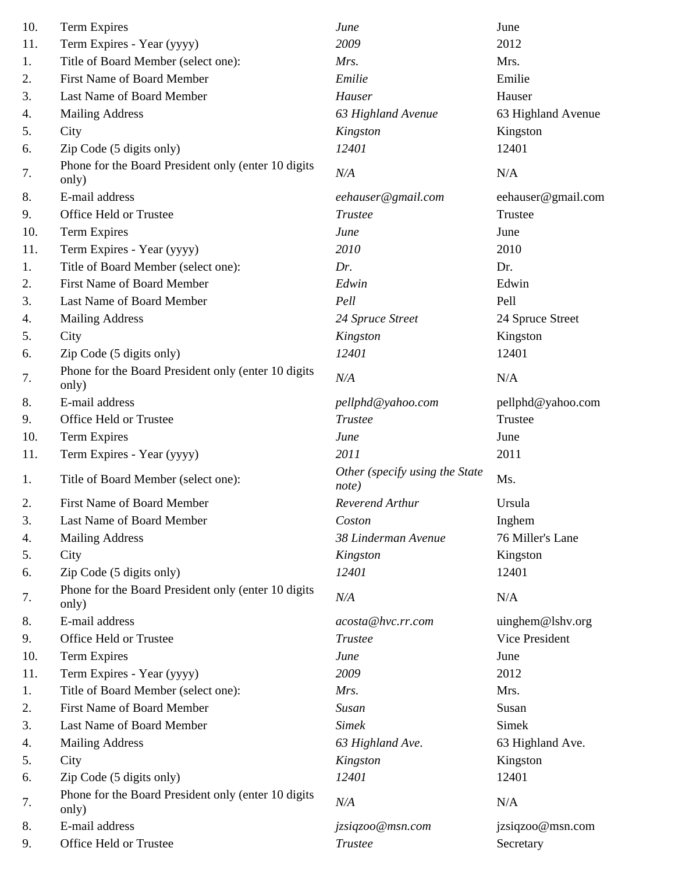| 10. | Term Expires                                                 | June                                    | June                  |
|-----|--------------------------------------------------------------|-----------------------------------------|-----------------------|
| 11. | Term Expires - Year (yyyy)                                   | 2009                                    | 2012                  |
| 1.  | Title of Board Member (select one):                          | Mrs.                                    | Mrs.                  |
| 2.  | First Name of Board Member                                   | Emilie                                  | Emilie                |
| 3.  | Last Name of Board Member                                    | Hauser                                  | Hauser                |
| 4.  | <b>Mailing Address</b>                                       | 63 Highland Avenue                      | 63 Highland Avenue    |
| 5.  | City                                                         | Kingston                                | Kingston              |
| 6.  | Zip Code (5 digits only)                                     | 12401                                   | 12401                 |
| 7.  | Phone for the Board President only (enter 10 digits<br>only) | N/A                                     | N/A                   |
| 8.  | E-mail address                                               | eehauser@gmail.com                      | eehauser@gmail.com    |
| 9.  | Office Held or Trustee                                       | <b>Trustee</b>                          | Trustee               |
| 10. | Term Expires                                                 | June                                    | June                  |
| 11. | Term Expires - Year (yyyy)                                   | 2010                                    | 2010                  |
| 1.  | Title of Board Member (select one):                          | Dr.                                     | Dr.                   |
| 2.  | <b>First Name of Board Member</b>                            | Edwin                                   | Edwin                 |
| 3.  | Last Name of Board Member                                    | Pell                                    | Pell                  |
| 4.  | <b>Mailing Address</b>                                       | 24 Spruce Street                        | 24 Spruce Street      |
| 5.  | City                                                         | Kingston                                | Kingston              |
| 6.  | Zip Code (5 digits only)                                     | 12401                                   | 12401                 |
| 7.  | Phone for the Board President only (enter 10 digits<br>only) | N/A                                     | N/A                   |
| 8.  | E-mail address                                               | pellphd@yahoo.com                       | pellphd@yahoo.com     |
| 9.  | Office Held or Trustee                                       | <b>Trustee</b>                          | Trustee               |
| 10. | <b>Term Expires</b>                                          | June                                    | June                  |
| 11. | Term Expires - Year (yyyy)                                   | 2011                                    | 2011                  |
| 1.  | Title of Board Member (select one):                          | Other (specify using the State<br>note) | Ms.                   |
| 2.  | First Name of Board Member                                   | Reverend Arthur                         | Ursula                |
| 3.  | Last Name of Board Member                                    | Coston                                  | Inghem                |
| 4.  | <b>Mailing Address</b>                                       | 38 Linderman Avenue                     | 76 Miller's Lane      |
| 5.  | City                                                         | Kingston                                | Kingston              |
| 6.  | Zip Code (5 digits only)                                     | 12401                                   | 12401                 |
| 7.  | Phone for the Board President only (enter 10 digits<br>only) | N/A                                     | N/A                   |
| 8.  | E-mail address                                               | acosta@hvc.rr.com                       | uinghem@lshv.org      |
| 9.  | Office Held or Trustee                                       | Trustee                                 | <b>Vice President</b> |
| 10. | <b>Term Expires</b>                                          | June                                    | June                  |
| 11. | Term Expires - Year (yyyy)                                   | 2009                                    | 2012                  |
| 1.  | Title of Board Member (select one):                          | Mrs.                                    | Mrs.                  |
| 2.  | First Name of Board Member                                   | Susan                                   | Susan                 |
| 3.  | Last Name of Board Member                                    | <b>Simek</b>                            | Simek                 |
| 4.  | <b>Mailing Address</b>                                       | 63 Highland Ave.                        | 63 Highland Ave.      |
| 5.  | City                                                         | Kingston                                | Kingston              |
| 6.  | Zip Code (5 digits only)                                     | 12401                                   | 12401                 |
| 7.  | Phone for the Board President only (enter 10 digits<br>only) | N/A                                     | N/A                   |
| 8.  | E-mail address                                               | jzsiqzoo@msn.com                        | jzsiqzoo@msn.com      |
| 9.  | Office Held or Trustee                                       | <b>Trustee</b>                          | Secretary             |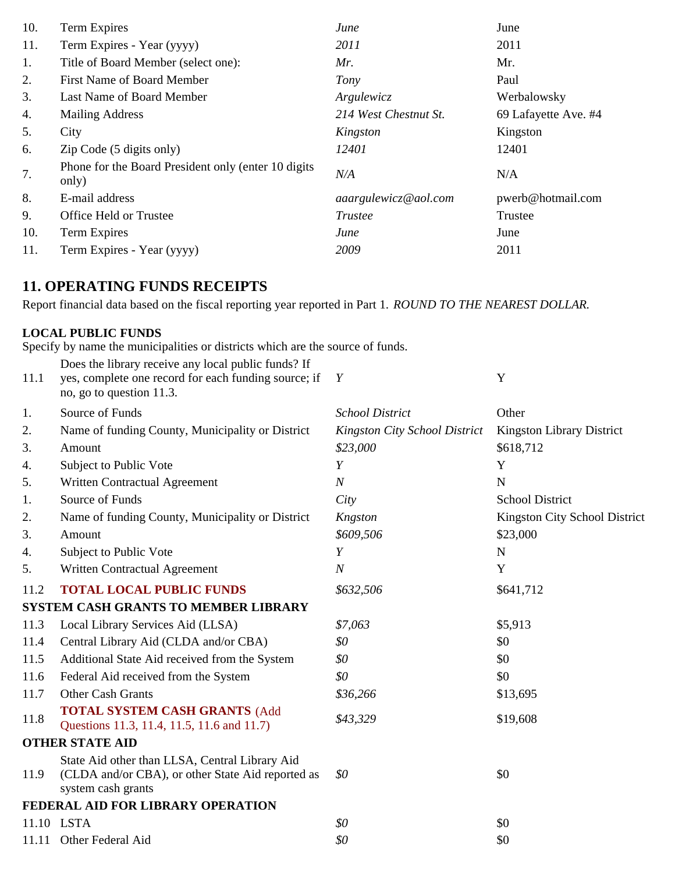| 10. | Term Expires                                                  | June                  | June                 |
|-----|---------------------------------------------------------------|-----------------------|----------------------|
| 11. | Term Expires - Year (yyyy)                                    | 2011                  | 2011                 |
| 1.  | Title of Board Member (select one):                           | Mr.                   | Mr.                  |
| 2.  | First Name of Board Member                                    | Tony                  | Paul                 |
| 3.  | Last Name of Board Member                                     | Argulewicz            | Werbalowsky          |
| 4.  | <b>Mailing Address</b>                                        | 214 West Chestnut St. | 69 Lafayette Ave. #4 |
| 5.  | City                                                          | Kingston              | Kingston             |
| 6.  | $\mathbf{Zip}$ Code (5 digits only)                           | 12401                 | 12401                |
| 7.  | Phone for the Board President only (enter 10 digits)<br>only) | N/A                   | N/A                  |
| 8.  | E-mail address                                                | aaargulewicz@aol.com  | pwerb@hotmail.com    |
| 9.  | Office Held or Trustee                                        | Trustee               | Trustee              |
| 10. | Term Expires                                                  | June                  | June                 |
| 11. | Term Expires - Year (yyyy)                                    | 2009                  | 2011                 |
|     |                                                               |                       |                      |

## **11. OPERATING FUNDS RECEIPTS**

Report financial data based on the fiscal reporting year reported in Part 1. *ROUND TO THE NEAREST DOLLAR.*

### **LOCAL PUBLIC FUNDS**

Specify by name the municipalities or districts which are the source of funds.

| 11.1 | Does the library receive any local public funds? If<br>yes, complete one record for each funding source; if<br>no, go to question 11.3. | Y                             | Y                                |
|------|-----------------------------------------------------------------------------------------------------------------------------------------|-------------------------------|----------------------------------|
| 1.   | Source of Funds                                                                                                                         | <b>School District</b>        | Other                            |
| 2.   | Name of funding County, Municipality or District                                                                                        | Kingston City School District | <b>Kingston Library District</b> |
| 3.   | Amount                                                                                                                                  | \$23,000                      | \$618,712                        |
| 4.   | Subject to Public Vote                                                                                                                  | Y                             | Y                                |
| 5.   | Written Contractual Agreement                                                                                                           | $\boldsymbol{N}$              | N                                |
| 1.   | Source of Funds                                                                                                                         | City                          | <b>School District</b>           |
| 2.   | Name of funding County, Municipality or District                                                                                        | Kngston                       | Kingston City School District    |
| 3.   | Amount                                                                                                                                  | \$609,506                     | \$23,000                         |
| 4.   | Subject to Public Vote                                                                                                                  | Y                             | $\mathbf N$                      |
| 5.   | Written Contractual Agreement                                                                                                           | $\boldsymbol{N}$              | Y                                |
| 11.2 | <b>TOTAL LOCAL PUBLIC FUNDS</b>                                                                                                         | \$632,506                     | \$641,712                        |
|      | <b>SYSTEM CASH GRANTS TO MEMBER LIBRARY</b>                                                                                             |                               |                                  |
| 11.3 | Local Library Services Aid (LLSA)                                                                                                       | \$7,063                       | \$5,913                          |
| 11.4 | Central Library Aid (CLDA and/or CBA)                                                                                                   | \$0                           | \$0                              |
| 11.5 | Additional State Aid received from the System                                                                                           | \$0                           | \$0                              |
| 11.6 | Federal Aid received from the System                                                                                                    | \$0                           | \$0                              |
| 11.7 | Other Cash Grants                                                                                                                       | \$36,266                      | \$13,695                         |
| 11.8 | <b>TOTAL SYSTEM CASH GRANTS (Add</b><br>Questions 11.3, 11.4, 11.5, 11.6 and 11.7)                                                      | \$43,329                      | \$19,608                         |
|      | <b>OTHER STATE AID</b>                                                                                                                  |                               |                                  |
| 11.9 | State Aid other than LLSA, Central Library Aid<br>(CLDA and/or CBA), or other State Aid reported as<br>system cash grants               | \$0                           | \$0                              |
|      | FEDERAL AID FOR LIBRARY OPERATION                                                                                                       |                               |                                  |
|      | 11.10 LSTA                                                                                                                              | \$0                           | \$0                              |
|      | 11.11 Other Federal Aid                                                                                                                 | \$0                           | \$0                              |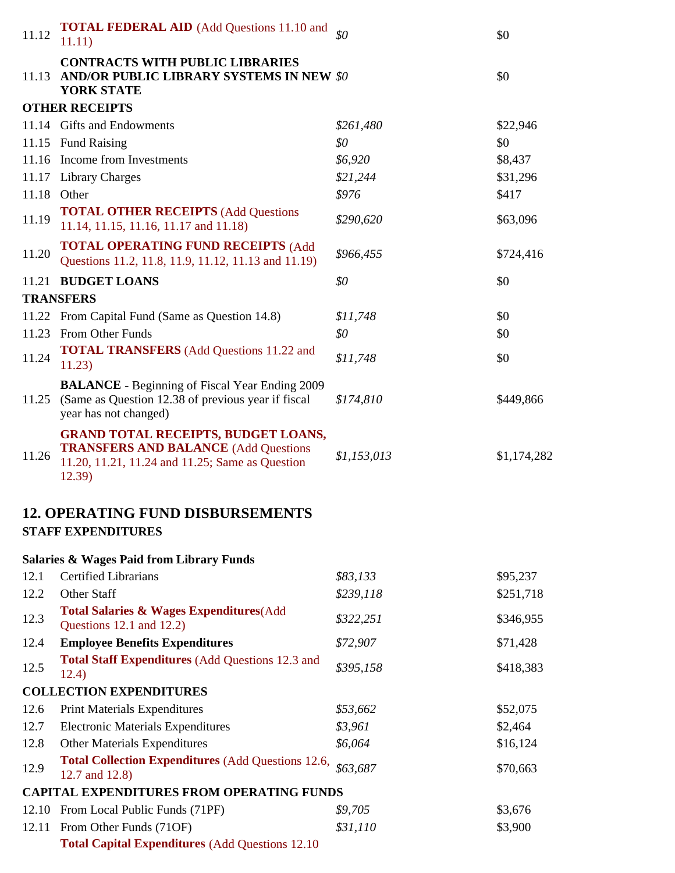| 11.12 | <b>TOTAL FEDERAL AID</b> (Add Questions 11.10 and<br>11.11)                                                                                            | $\overline{30}$ | \$0         |
|-------|--------------------------------------------------------------------------------------------------------------------------------------------------------|-----------------|-------------|
|       | <b>CONTRACTS WITH PUBLIC LIBRARIES</b><br>11.13 AND/OR PUBLIC LIBRARY SYSTEMS IN NEW \$0<br><b>YORK STATE</b>                                          |                 | \$0         |
|       | <b>OTHER RECEIPTS</b>                                                                                                                                  |                 |             |
|       | 11.14 Gifts and Endowments                                                                                                                             | \$261,480       | \$22,946    |
|       | 11.15 Fund Raising                                                                                                                                     | \$0             | \$0         |
| 11.16 | Income from Investments                                                                                                                                | \$6,920         | \$8,437     |
|       | 11.17 Library Charges                                                                                                                                  | \$21,244        | \$31,296    |
| 11.18 | Other                                                                                                                                                  | \$976           | \$417       |
| 11.19 | <b>TOTAL OTHER RECEIPTS (Add Questions</b><br>11.14, 11.15, 11.16, 11.17 and 11.18)                                                                    | \$290,620       | \$63,096    |
| 11.20 | <b>TOTAL OPERATING FUND RECEIPTS (Add</b><br>Questions 11.2, 11.8, 11.9, 11.12, 11.13 and 11.19)                                                       | \$966,455       | \$724,416   |
|       | 11.21 BUDGET LOANS                                                                                                                                     | \$0             | \$0         |
|       | <b>TRANSFERS</b>                                                                                                                                       |                 |             |
|       | 11.22 From Capital Fund (Same as Question 14.8)                                                                                                        | \$11,748        | \$0         |
|       | 11.23 From Other Funds                                                                                                                                 | \$0\$           | \$0         |
| 11.24 | <b>TOTAL TRANSFERS</b> (Add Questions 11.22 and<br>11.23)                                                                                              | \$11,748        | \$0         |
|       | <b>BALANCE</b> - Beginning of Fiscal Year Ending 2009<br>11.25 (Same as Question 12.38 of previous year if fiscal<br>year has not changed)             | \$174,810       | \$449,866   |
| 11.26 | <b>GRAND TOTAL RECEIPTS, BUDGET LOANS,</b><br><b>TRANSFERS AND BALANCE (Add Questions</b><br>11.20, 11.21, 11.24 and 11.25; Same as Question<br>12.39) | \$1,153,013     | \$1,174,282 |
|       | <b>12. OPERATING FUND DISBURSEMENTS</b><br><b>STAFF EXPENDITURES</b>                                                                                   |                 |             |
|       | <b>Salaries &amp; Wages Paid from Library Funds</b>                                                                                                    |                 |             |
| 12.1  | <b>Certified Librarians</b>                                                                                                                            | \$83,133        | \$95,237    |
| 12.2  | Other Staff                                                                                                                                            | \$239,118       | \$251,718   |
| 12.3  | <b>Total Salaries &amp; Wages Expenditures</b> (Add<br>Questions 12.1 and 12.2)                                                                        | \$322,251       | \$346,955   |
| 12.4  | <b>Employee Benefits Expenditures</b>                                                                                                                  | \$72,907        | \$71,428    |
| 12.5  | <b>Total Staff Expenditures (Add Questions 12.3 and</b><br>12.4)                                                                                       | \$395,158       | \$418,383   |
|       | <b>COLLECTION EXPENDITURES</b>                                                                                                                         |                 |             |
| 12.6  | <b>Print Materials Expenditures</b>                                                                                                                    | \$53,662        | \$52,075    |
| 12.7  | <b>Electronic Materials Expenditures</b>                                                                                                               | \$3,961         | \$2,464     |
| 12.8  | <b>Other Materials Expenditures</b>                                                                                                                    | \$6,064         | \$16,124    |
| 12.9  | <b>Total Collection Expenditures (Add Questions 12.6,</b><br>12.7 and 12.8)                                                                            | \$63,687        | \$70,663    |
|       | <b>CAPITAL EXPENDITURES FROM OPERATING FUNDS</b>                                                                                                       |                 |             |
| 12.10 | From Local Public Funds (71PF)                                                                                                                         | \$9,705         | \$3,676     |
| 12.11 | From Other Funds (71OF)                                                                                                                                | \$31,110        | \$3,900     |
|       | <b>Total Capital Expenditures (Add Questions 12.10)</b>                                                                                                |                 |             |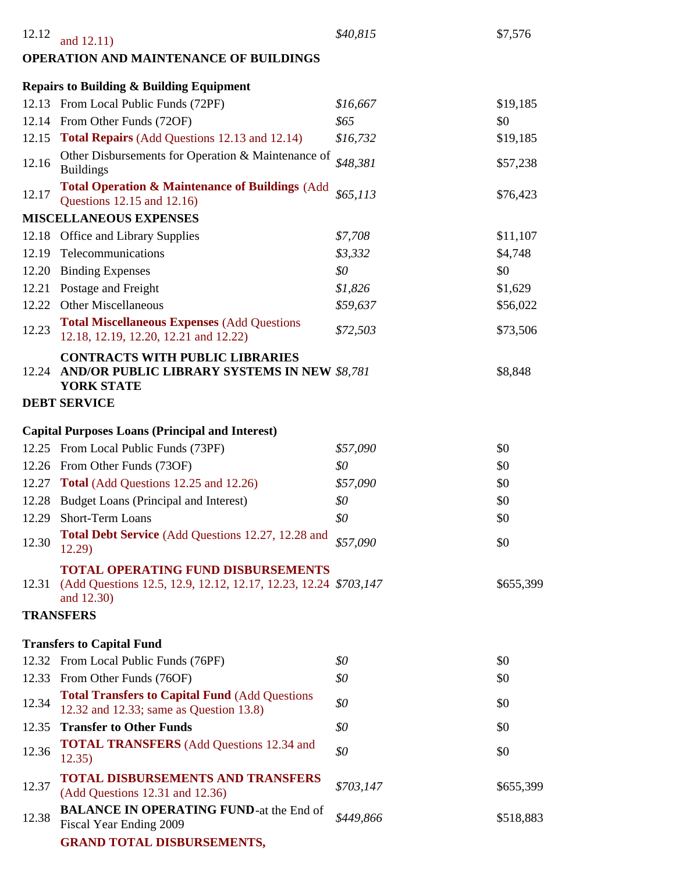| 12.12 | and 12.11)                                                                                                                        | \$40,815  | \$7,576   |
|-------|-----------------------------------------------------------------------------------------------------------------------------------|-----------|-----------|
|       | OPERATION AND MAINTENANCE OF BUILDINGS                                                                                            |           |           |
|       | <b>Repairs to Building &amp; Building Equipment</b>                                                                               |           |           |
|       | 12.13 From Local Public Funds (72PF)                                                                                              | \$16,667  | \$19,185  |
|       | 12.14 From Other Funds (72OF)                                                                                                     | \$65      | \$0       |
|       | 12.15 Total Repairs (Add Questions 12.13 and 12.14)                                                                               | \$16,732  | \$19,185  |
| 12.16 | Other Disbursements for Operation & Maintenance of<br><b>Buildings</b>                                                            | \$48,381  | \$57,238  |
| 12.17 | <b>Total Operation &amp; Maintenance of Buildings (Add)</b><br>Questions 12.15 and 12.16)                                         | \$65,113  | \$76,423  |
|       | <b>MISCELLANEOUS EXPENSES</b>                                                                                                     |           |           |
| 12.18 | <b>Office and Library Supplies</b>                                                                                                | \$7,708   | \$11,107  |
| 12.19 | Telecommunications                                                                                                                | \$3,332   | \$4,748   |
| 12.20 | <b>Binding Expenses</b>                                                                                                           | \$0       | \$0       |
| 12.21 | Postage and Freight                                                                                                               | \$1,826   | \$1,629   |
|       | 12.22 Other Miscellaneous                                                                                                         | \$59,637  | \$56,022  |
| 12.23 | <b>Total Miscellaneous Expenses (Add Questions</b><br>12.18, 12.19, 12.20, 12.21 and 12.22)                                       | \$72,503  | \$73,506  |
| 12.24 | <b>CONTRACTS WITH PUBLIC LIBRARIES</b><br>AND/OR PUBLIC LIBRARY SYSTEMS IN NEW \$8,781<br><b>YORK STATE</b>                       |           | \$8,848   |
|       | <b>DEBT SERVICE</b>                                                                                                               |           |           |
|       | <b>Capital Purposes Loans (Principal and Interest)</b>                                                                            |           |           |
|       | 12.25 From Local Public Funds (73PF)                                                                                              | \$57,090  | \$0       |
|       | 12.26 From Other Funds (73OF)                                                                                                     | \$0       | \$0       |
|       | 12.27 Total (Add Questions 12.25 and 12.26)                                                                                       | \$57,090  | \$0       |
|       | 12.28 Budget Loans (Principal and Interest)                                                                                       | \$0       | \$0       |
| 12.29 | Short-Term Loans                                                                                                                  | \$0       | \$0       |
| 12.30 | Total Debt Service (Add Questions 12.27, 12.28 and<br>12.29                                                                       | \$57,090  | \$0       |
|       | <b>TOTAL OPERATING FUND DISBURSEMENTS</b><br>12.31 (Add Questions 12.5, 12.9, 12.12, 12.17, 12.23, 12.24 \$703, 147<br>and 12.30) |           | \$655,399 |
|       | <b>TRANSFERS</b>                                                                                                                  |           |           |
|       | <b>Transfers to Capital Fund</b>                                                                                                  |           |           |
|       | 12.32 From Local Public Funds (76PF)                                                                                              | \$0       | \$0       |
|       | 12.33 From Other Funds (76OF)                                                                                                     | \$0       | \$0       |
| 12.34 | <b>Total Transfers to Capital Fund (Add Questions)</b><br>12.32 and 12.33; same as Question 13.8)                                 | \$0       | \$0       |
| 12.35 | <b>Transfer to Other Funds</b>                                                                                                    | \$0       | \$0       |
| 12.36 | <b>TOTAL TRANSFERS</b> (Add Questions 12.34 and<br>12.35)                                                                         | \$0       | \$0       |
| 12.37 | <b>TOTAL DISBURSEMENTS AND TRANSFERS</b><br>(Add Questions 12.31 and 12.36)                                                       | \$703,147 | \$655,399 |
| 12.38 | <b>BALANCE IN OPERATING FUND-at the End of</b><br>Fiscal Year Ending 2009                                                         | \$449,866 | \$518,883 |
|       | <b>GRAND TOTAL DISBURSEMENTS,</b>                                                                                                 |           |           |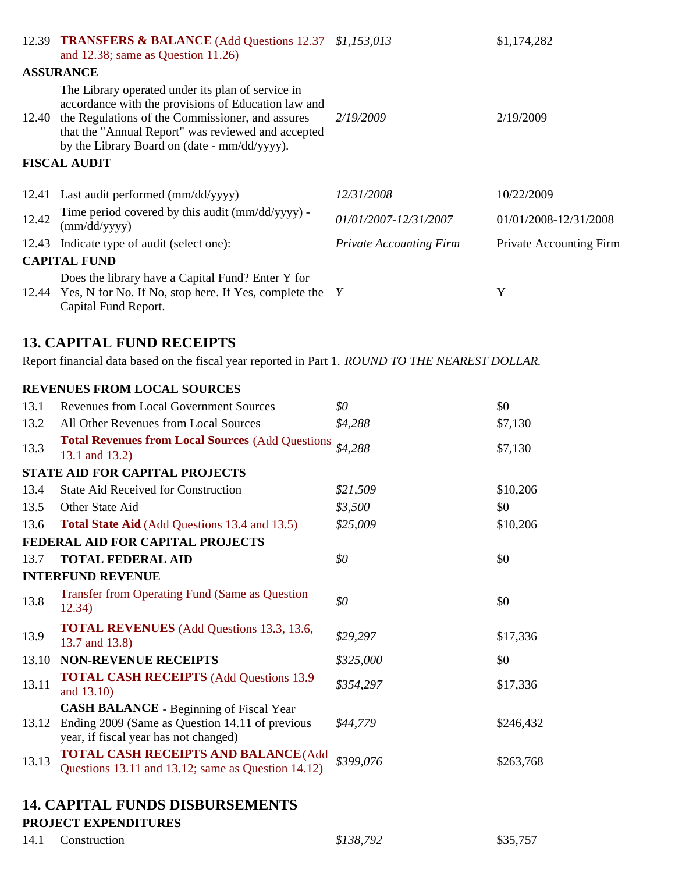|       | 12.39 TRANSFERS & BALANCE (Add Questions 12.37 \$1,153,013<br>and 12.38; same as Question $11.26$ )                                                                                                                                                                |                                | \$1,174,282                    |
|-------|--------------------------------------------------------------------------------------------------------------------------------------------------------------------------------------------------------------------------------------------------------------------|--------------------------------|--------------------------------|
|       | <b>ASSURANCE</b>                                                                                                                                                                                                                                                   |                                |                                |
| 12.40 | The Library operated under its plan of service in<br>accordance with the provisions of Education law and<br>the Regulations of the Commissioner, and assures<br>that the "Annual Report" was reviewed and accepted<br>by the Library Board on (date - mm/dd/yyyy). | 2/19/2009                      | 2/19/2009                      |
|       | <b>FISCAL AUDIT</b>                                                                                                                                                                                                                                                |                                |                                |
|       | 12.41 Last audit performed (mm/dd/yyyy)                                                                                                                                                                                                                            | <i>12/31/2008</i>              | 10/22/2009                     |
| 12.42 | Time period covered by this audit (mm/dd/yyyy) -<br>$\text{(mm/dd/yyyy)}$                                                                                                                                                                                          | 01/01/2007-12/31/2007          | 01/01/2008-12/31/2008          |
|       | 12.43 Indicate type of audit (select one):                                                                                                                                                                                                                         | <b>Private Accounting Firm</b> | <b>Private Accounting Firm</b> |
|       | <b>CAPITAL FUND</b>                                                                                                                                                                                                                                                |                                |                                |
|       | Does the library have a Capital Fund? Enter Y for<br>12.44 Yes, N for No. If No, stop here. If Yes, complete the Y<br>Capital Fund Report.                                                                                                                         |                                | Y                              |

## **13. CAPITAL FUND RECEIPTS**

Report financial data based on the fiscal year reported in Part 1. *ROUND TO THE NEAREST DOLLAR.*

#### **REVENUES FROM LOCAL SOURCES**

| 13.1  | <b>Revenues from Local Government Sources</b>                                                                                              | \$0       | \$0       |
|-------|--------------------------------------------------------------------------------------------------------------------------------------------|-----------|-----------|
| 13.2  | All Other Revenues from Local Sources                                                                                                      | \$4,288   | \$7,130   |
| 13.3  | <b>Total Revenues from Local Sources (Add Questions)</b><br>13.1 and 13.2)                                                                 | \$4,288   | \$7,130   |
|       | <b>STATE AID FOR CAPITAL PROJECTS</b>                                                                                                      |           |           |
| 13.4  | <b>State Aid Received for Construction</b>                                                                                                 | \$21,509  | \$10,206  |
| 13.5  | Other State Aid                                                                                                                            | \$3,500   | \$0       |
| 13.6  | <b>Total State Aid</b> (Add Questions 13.4 and 13.5)                                                                                       | \$25,009  | \$10,206  |
|       | FEDERAL AID FOR CAPITAL PROJECTS                                                                                                           |           |           |
| 13.7  | <b>TOTAL FEDERAL AID</b>                                                                                                                   | \$0       | \$0       |
|       | <b>INTERFUND REVENUE</b>                                                                                                                   |           |           |
| 13.8  | <b>Transfer from Operating Fund (Same as Question</b><br>12.34)                                                                            | \$0       | \$0       |
| 13.9  | <b>TOTAL REVENUES</b> (Add Questions 13.3, 13.6,<br>13.7 and 13.8)                                                                         | \$29,297  | \$17,336  |
| 13.10 | <b>NON-REVENUE RECEIPTS</b>                                                                                                                | \$325,000 | \$0       |
| 13.11 | <b>TOTAL CASH RECEIPTS</b> (Add Questions 13.9)<br>and 13.10)                                                                              | \$354,297 | \$17,336  |
| 13.12 | <b>CASH BALANCE</b> - Beginning of Fiscal Year<br>Ending 2009 (Same as Question 14.11 of previous<br>year, if fiscal year has not changed) | \$44,779  | \$246,432 |
| 13.13 | <b>TOTAL CASH RECEIPTS AND BALANCE (Add</b><br>Questions 13.11 and 13.12; same as Question 14.12)                                          | \$399,076 | \$263,768 |
|       |                                                                                                                                            |           |           |

## **14. CAPITAL FUNDS DISBURSEMENTS**

### **PROJECT EXPENDITURES**

14.1 Construction \$138,792 \$35,757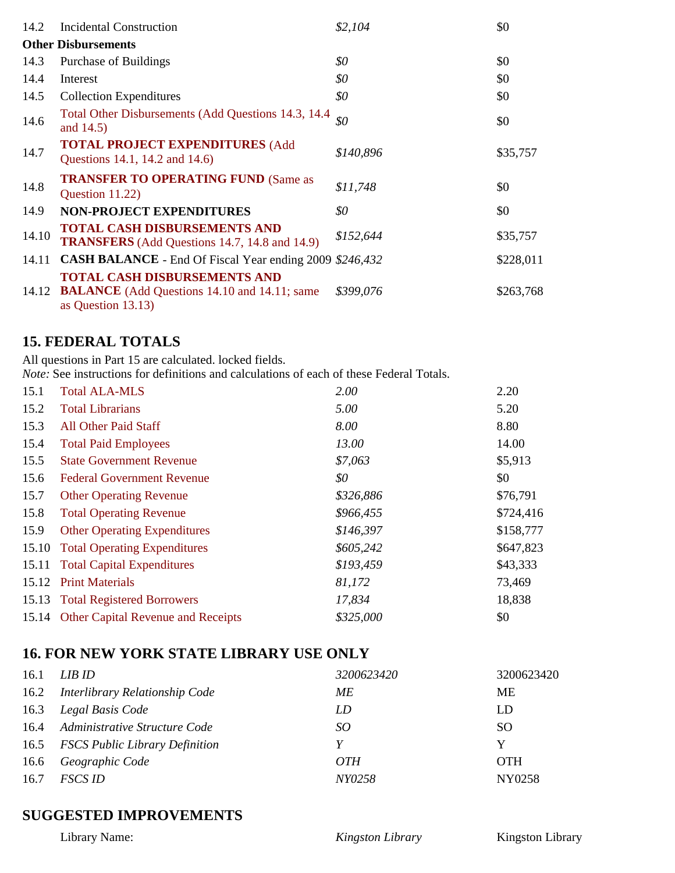| 14.2  | <b>Incidental Construction</b>                                                                                      | \$2,104   | \$0       |
|-------|---------------------------------------------------------------------------------------------------------------------|-----------|-----------|
|       | <b>Other Disbursements</b>                                                                                          |           |           |
| 14.3  | Purchase of Buildings                                                                                               | \$0       | \$0       |
| 14.4  | Interest                                                                                                            | \$0       | \$0       |
| 14.5  | <b>Collection Expenditures</b>                                                                                      | \$0       | \$0       |
| 14.6  | Total Other Disbursements (Add Questions 14.3, 14.4)<br>and 14.5)                                                   | \$0       | \$0       |
| 14.7  | <b>TOTAL PROJECT EXPENDITURES (Add</b><br>Questions 14.1, 14.2 and 14.6)                                            | \$140,896 | \$35,757  |
| 14.8  | <b>TRANSFER TO OPERATING FUND (Same as</b><br>Question 11.22)                                                       | \$11,748  | \$0       |
| 14.9  | <b>NON-PROJECT EXPENDITURES</b>                                                                                     | \$0       | \$0       |
| 14.10 | <b>TOTAL CASH DISBURSEMENTS AND</b><br><b>TRANSFERS</b> (Add Questions 14.7, 14.8 and 14.9)                         | \$152,644 | \$35,757  |
| 14.11 | CASH BALANCE - End Of Fiscal Year ending 2009 \$246,432                                                             |           | \$228,011 |
| 14.12 | <b>TOTAL CASH DISBURSEMENTS AND</b><br><b>BALANCE</b> (Add Questions 14.10 and 14.11; same<br>as Question $13.13$ ) | \$399,076 | \$263,768 |

## **15. FEDERAL TOTALS**

All questions in Part 15 are calculated. locked fields.

*Note:* See instructions for definitions and calculations of each of these Federal Totals.

| 15.1  | <b>Total ALA-MLS</b>                     | 2.00      | 2.20      |
|-------|------------------------------------------|-----------|-----------|
| 15.2  | <b>Total Librarians</b>                  | 5.00      | 5.20      |
| 15.3  | All Other Paid Staff                     | 8.00      | 8.80      |
| 15.4  | <b>Total Paid Employees</b>              | 13.00     | 14.00     |
| 15.5  | <b>State Government Revenue</b>          | \$7,063   | \$5,913   |
| 15.6  | <b>Federal Government Revenue</b>        | \$0       | \$0       |
| 15.7  | <b>Other Operating Revenue</b>           | \$326,886 | \$76,791  |
| 15.8  | <b>Total Operating Revenue</b>           | \$966,455 | \$724,416 |
| 15.9  | <b>Other Operating Expenditures</b>      | \$146,397 | \$158,777 |
| 15.10 | <b>Total Operating Expenditures</b>      | \$605,242 | \$647,823 |
|       | 15.11 Total Capital Expenditures         | \$193,459 | \$43,333  |
|       | 15.12 Print Materials                    | 81,172    | 73,469    |
|       | 15.13 Total Registered Borrowers         | 17,834    | 18,838    |
|       | 15.14 Other Capital Revenue and Receipts | \$325,000 | \$0       |

## **16. FOR NEW YORK STATE LIBRARY USE ONLY**

| 16.1 | LIB ID                              | 3200623420 | 3200623420    |
|------|-------------------------------------|------------|---------------|
|      | 16.2 Interlibrary Relationship Code | МE         | <b>ME</b>     |
|      | 16.3 Legal Basis Code               | LD         | LD            |
|      | 16.4 Administrative Structure Code  | SO         | <sub>SO</sub> |
|      | 16.5 FSCS Public Library Definition | Y          | Y             |
|      | 16.6 Geographic Code                | <i>OTH</i> | <b>OTH</b>    |
| 16.7 | <i>FSCS ID</i>                      | NY0258     | NY0258        |

## **SUGGESTED IMPROVEMENTS**

Library Name: *Kingston Library* Kingston Library